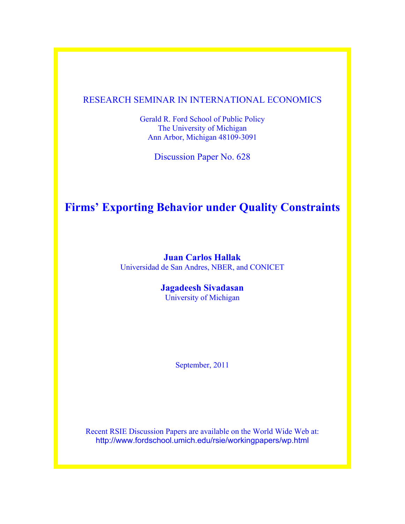## RESEARCH SEMINAR IN INTERNATIONAL ECONOMICS

Gerald R. Ford School of Public Policy The University of Michigan Ann Arbor, Michigan 48109-3091

Discussion Paper No. 628

# **Firms' Exporting Behavior under Quality Constraints**

**Juan Carlos Hallak** Universidad de San Andres, NBER, and CONICET

## **Jagadeesh Sivadasan**

University of Michigan

September, 2011

Recent RSIE Discussion Papers are available on the World Wide Web at: http://www.fordschool.umich.edu/rsie/workingpapers/wp.html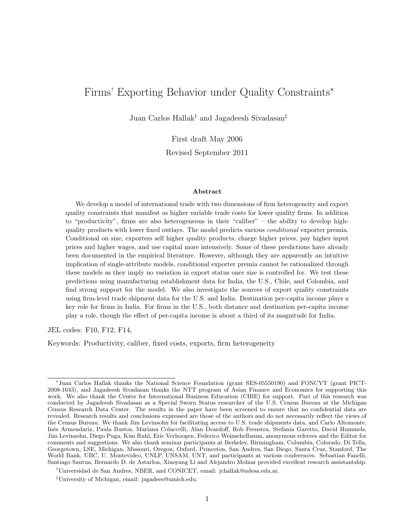## Firms' Exporting Behavior under Quality Constraints<sup>\*</sup>

Juan Carlos Hallak† and Jagadeesh Sivadasan‡

First draft May 2006 Revised September 2011

#### Abstract

We develop a model of international trade with two dimensions of firm heterogeneity and export quality constraints that manifest as higher variable trade costs for lower quality firms. In addition to "productivity", firms are also heterogeneous in their "caliber" – the ability to develop highquality products with lower fixed outlays. The model predicts various conditional exporter premia. Conditional on size, exporters sell higher quality products, charge higher prices, pay higher input prices and higher wages, and use capital more intensively. Some of these predictions have already been documented in the empirical literature. However, although they are apparently an intuitive implication of single-attribute models, conditional exporter premia cannot be rationalized through these models as they imply no variation in export status once size is controlled for. We test these predictions using manufacturing establishment data for India, the U.S., Chile, and Colombia, and find strong support for the model. We also investigate the sources of export quality constraints using firm-level trade shipment data for the U.S. and India. Destination per-capita income plays a key role for firms in India. For firms in the U.S., both distance and destination per-capita income play a role, though the effect of per-capita income is about a third of its magnitude for India.

JEL codes: F10, F12, F14,

Keywords: Productivity, caliber, fixed costs, exports, firm heterogeneity

<sup>∗</sup> Juan Carlos Hallak thanks the National Science Foundation (grant SES-05550190) and FONCYT (grant PICT-2008-1643), and Jagadeesh Sivadasan thanks the NTT program of Asian Finance and Economics for supporting this work. We also thank the Center for International Business Education (CIBE) for support. Part of this research was conducted by Jagadeesh Sivadasan as a Special Sworn Status researcher of the U.S. Census Bureau at the Michigan Census Research Data Center. The results in the paper have been screened to ensure that no confidential data are revealed. Research results and conclusions expressed are those of the authors and do not necessarily reflect the views of the Census Bureau. We thank Jim Levinsohn for facilitating access to U.S. trade shipments data, and Carlo Altomonte, In´es Armendariz, Paula Bustos, Mariana Colaccelli, Alan Deardoff, Rob Feenstra, Stefania Garetto, David Hummels, Jim Levinsohn, Diego Puga, Kim Ruhl, Eric Verhoogen, Federico Weinschelbaum, anonymous referees and the Editor for comments and suggestions. We also thank seminar participants at Berkeley, Birmingham, Columbia, Colorado, Di Tella, Georgetown, LSE, Michigan, Missouri, Oregon, Oxford, Princeton, San Andres, San Diego, Santa Cruz, Stanford, The World Bank, UBC, U. Montevideo, UNLP, UNSAM, UNT, and participants at various conferences. Sebastian Fanelli, Santiago Sautua, Bernardo D. de Astarloa, Xiaoyang Li and Alejandro Molnar provided excellent research assistantship.

<sup>†</sup>Universidad de San Andres, NBER, and CONICET, email: jchallak@udesa.edu.ar.

<sup>‡</sup>University of Michigan, email: jagadees@umich.edu.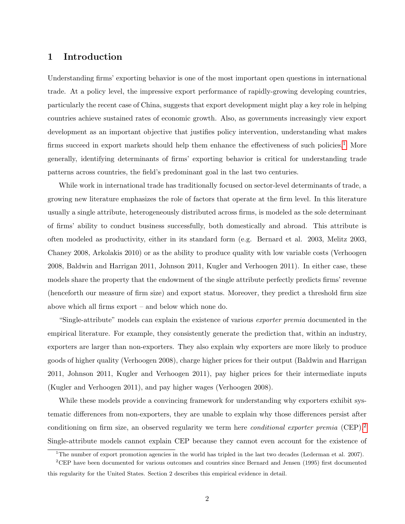### 1 Introduction

Understanding firms' exporting behavior is one of the most important open questions in international trade. At a policy level, the impressive export performance of rapidly-growing developing countries, particularly the recent case of China, suggests that export development might play a key role in helping countries achieve sustained rates of economic growth. Also, as governments increasingly view export development as an important objective that justifies policy intervention, understanding what makes firms succeed in export markets should help them enhance the effectiveness of such policies.<sup>[1](#page-2-0)</sup> More generally, identifying determinants of firms' exporting behavior is critical for understanding trade patterns across countries, the field's predominant goal in the last two centuries.

While work in international trade has traditionally focused on sector-level determinants of trade, a growing new literature emphasizes the role of factors that operate at the firm level. In this literature usually a single attribute, heterogeneously distributed across firms, is modeled as the sole determinant of firms' ability to conduct business successfully, both domestically and abroad. This attribute is often modeled as productivity, either in its standard form (e.g. Bernard et al. 2003, Melitz 2003, Chaney 2008, Arkolakis 2010) or as the ability to produce quality with low variable costs (Verhoogen 2008, Baldwin and Harrigan 2011, Johnson 2011, Kugler and Verhoogen 2011). In either case, these models share the property that the endowment of the single attribute perfectly predicts firms' revenue (henceforth our measure of firm size) and export status. Moreover, they predict a threshold firm size above which all firms export – and below which none do.

"Single-attribute" models can explain the existence of various exporter premia documented in the empirical literature. For example, they consistently generate the prediction that, within an industry, exporters are larger than non-exporters. They also explain why exporters are more likely to produce goods of higher quality (Verhoogen 2008), charge higher prices for their output (Baldwin and Harrigan 2011, Johnson 2011, Kugler and Verhoogen 2011), pay higher prices for their intermediate inputs (Kugler and Verhoogen 2011), and pay higher wages (Verhoogen 2008).

While these models provide a convincing framework for understanding why exporters exhibit systematic differences from non-exporters, they are unable to explain why those differences persist after conditioning on firm size, an observed regularity we term here *conditional exporter premia* (CEP).<sup>[2](#page-2-1)</sup> Single-attribute models cannot explain CEP because they cannot even account for the existence of

<span id="page-2-1"></span><span id="page-2-0"></span><sup>&</sup>lt;sup>1</sup>The number of export promotion agencies in the world has tripled in the last two decades (Lederman et al. 2007).

<sup>2</sup>CEP have been documented for various outcomes and countries since Bernard and Jensen (1995) first documented this regularity for the United States. Section 2 describes this empirical evidence in detail.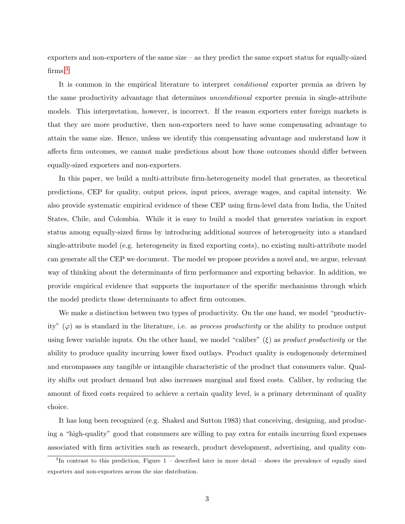exporters and non-exporters of the same size – as they predict the same export status for equally-sized firms.<sup>[3](#page-3-0)</sup>

It is common in the empirical literature to interpret conditional exporter premia as driven by the same productivity advantage that determines unconditional exporter premia in single-attribute models. This interpretation, however, is incorrect. If the reason exporters enter foreign markets is that they are more productive, then non-exporters need to have some compensating advantage to attain the same size. Hence, unless we identify this compensating advantage and understand how it affects firm outcomes, we cannot make predictions about how those outcomes should differ between equally-sized exporters and non-exporters.

In this paper, we build a multi-attribute firm-heterogeneity model that generates, as theoretical predictions, CEP for quality, output prices, input prices, average wages, and capital intensity. We also provide systematic empirical evidence of these CEP using firm-level data from India, the United States, Chile, and Colombia. While it is easy to build a model that generates variation in export status among equally-sized firms by introducing additional sources of heterogeneity into a standard single-attribute model (e.g. heterogeneity in fixed exporting costs), no existing multi-attribute model can generate all the CEP we document. The model we propose provides a novel and, we argue, relevant way of thinking about the determinants of firm performance and exporting behavior. In addition, we provide empirical evidence that supports the importance of the specific mechanisms through which the model predicts those determinants to affect firm outcomes.

We make a distinction between two types of productivity. On the one hand, we model "productivity"  $(\varphi)$  as is standard in the literature, i.e. as process productivity or the ability to produce output using fewer variable inputs. On the other hand, we model "caliber"  $(\xi)$  as product productivity or the ability to produce quality incurring lower fixed outlays. Product quality is endogenously determined and encompasses any tangible or intangible characteristic of the product that consumers value. Quality shifts out product demand but also increases marginal and fixed costs. Caliber, by reducing the amount of fixed costs required to achieve a certain quality level, is a primary determinant of quality choice.

It has long been recognized (e.g. Shaked and Sutton 1983) that conceiving, designing, and producing a "high-quality" good that consumers are willing to pay extra for entails incurring fixed expenses associated with firm activities such as research, product development, advertising, and quality con-

<span id="page-3-0"></span><sup>3</sup> In contrast to this prediction, Figure 1 – described later in more detail – shows the prevalence of equally sized exporters and non-exporters across the size distribution.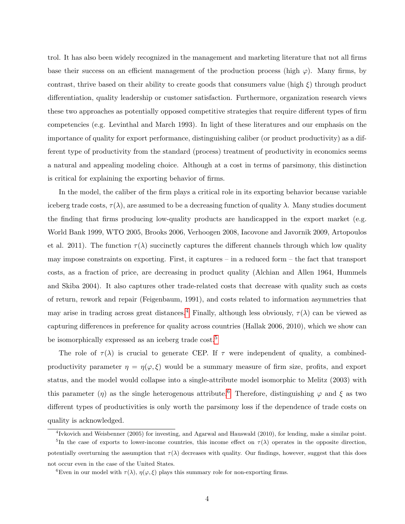trol. It has also been widely recognized in the management and marketing literature that not all firms base their success on an efficient management of the production process (high  $\varphi$ ). Many firms, by contrast, thrive based on their ability to create goods that consumers value (high  $\xi$ ) through product differentiation, quality leadership or customer satisfaction. Furthermore, organization research views these two approaches as potentially opposed competitive strategies that require different types of firm competencies (e.g. Levinthal and March 1993). In light of these literatures and our emphasis on the importance of quality for export performance, distinguishing caliber (or product productivity) as a different type of productivity from the standard (process) treatment of productivity in economics seems a natural and appealing modeling choice. Although at a cost in terms of parsimony, this distinction is critical for explaining the exporting behavior of firms.

In the model, the caliber of the firm plays a critical role in its exporting behavior because variable iceberg trade costs,  $\tau(\lambda)$ , are assumed to be a decreasing function of quality  $\lambda$ . Many studies document the finding that firms producing low-quality products are handicapped in the export market (e.g. World Bank 1999, WTO 2005, Brooks 2006, Verhoogen 2008, Iacovone and Javornik 2009, Artopoulos et al. 2011). The function  $\tau(\lambda)$  succinctly captures the different channels through which low quality may impose constraints on exporting. First, it captures – in a reduced form – the fact that transport costs, as a fraction of price, are decreasing in product quality (Alchian and Allen 1964, Hummels and Skiba 2004). It also captures other trade-related costs that decrease with quality such as costs of return, rework and repair (Feigenbaum, 1991), and costs related to information asymmetries that may arise in trading across great distances.<sup>[4](#page-4-0)</sup> Finally, although less obviously,  $\tau(\lambda)$  can be viewed as capturing differences in preference for quality across countries (Hallak 2006, 2010), which we show can be isomorphically expressed as an iceberg trade cost.<sup>[5](#page-4-1)</sup>

The role of  $\tau(\lambda)$  is crucial to generate CEP. If  $\tau$  were independent of quality, a combinedproductivity parameter  $\eta = \eta(\varphi, \xi)$  would be a summary measure of firm size, profits, and export status, and the model would collapse into a single-attribute model isomorphic to Melitz (2003) with this parameter (η) as the single heterogenous attribute.<sup>[6](#page-4-2)</sup> Therefore, distinguishing  $\varphi$  and  $\xi$  as two different types of productivities is only worth the parsimony loss if the dependence of trade costs on quality is acknowledged.

<span id="page-4-1"></span><span id="page-4-0"></span><sup>4</sup> Ivkovich and Weisbenner (2005) for investing, and Agarwal and Hauswald (2010), for lending, make a similar point.

<sup>&</sup>lt;sup>5</sup>In the case of exports to lower-income countries, this income effect on  $\tau(\lambda)$  operates in the opposite direction, potentially overturning the assumption that  $\tau(\lambda)$  decreases with quality. Our findings, however, suggest that this does not occur even in the case of the United States.

<span id="page-4-2"></span><sup>&</sup>lt;sup>6</sup>Even in our model with  $\tau(\lambda)$ ,  $\eta(\varphi,\xi)$  plays this summary role for non-exporting firms.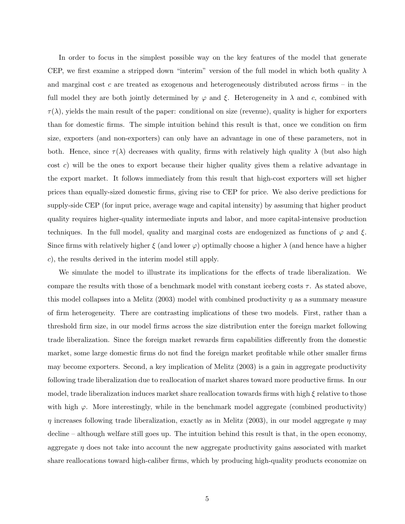In order to focus in the simplest possible way on the key features of the model that generate CEP, we first examine a stripped down "interim" version of the full model in which both quality  $\lambda$ and marginal cost c are treated as exogenous and heterogeneously distributed across firms – in the full model they are both jointly determined by  $\varphi$  and  $\xi$ . Heterogeneity in  $\lambda$  and c, combined with  $\tau(\lambda)$ , yields the main result of the paper: conditional on size (revenue), quality is higher for exporters than for domestic firms. The simple intuition behind this result is that, once we condition on firm size, exporters (and non-exporters) can only have an advantage in one of these parameters, not in both. Hence, since  $\tau(\lambda)$  decreases with quality, firms with relatively high quality  $\lambda$  (but also high  $\cot c$ ) will be the ones to export because their higher quality gives them a relative advantage in the export market. It follows immediately from this result that high-cost exporters will set higher prices than equally-sized domestic firms, giving rise to CEP for price. We also derive predictions for supply-side CEP (for input price, average wage and capital intensity) by assuming that higher product quality requires higher-quality intermediate inputs and labor, and more capital-intensive production techniques. In the full model, quality and marginal costs are endogenized as functions of  $\varphi$  and  $\xi$ . Since firms with relatively higher  $\xi$  (and lower  $\varphi$ ) optimally choose a higher  $\lambda$  (and hence have a higher c), the results derived in the interim model still apply.

We simulate the model to illustrate its implications for the effects of trade liberalization. We compare the results with those of a benchmark model with constant iceberg costs  $\tau$ . As stated above, this model collapses into a Melitz (2003) model with combined productivity  $\eta$  as a summary measure of firm heterogeneity. There are contrasting implications of these two models. First, rather than a threshold firm size, in our model firms across the size distribution enter the foreign market following trade liberalization. Since the foreign market rewards firm capabilities differently from the domestic market, some large domestic firms do not find the foreign market profitable while other smaller firms may become exporters. Second, a key implication of Melitz (2003) is a gain in aggregate productivity following trade liberalization due to reallocation of market shares toward more productive firms. In our model, trade liberalization induces market share reallocation towards firms with high  $\xi$  relative to those with high  $\varphi$ . More interestingly, while in the benchmark model aggregate (combined productivity)  $\eta$  increases following trade liberalization, exactly as in Melitz (2003), in our model aggregate  $\eta$  may decline – although welfare still goes up. The intuition behind this result is that, in the open economy, aggregate  $\eta$  does not take into account the new aggregate productivity gains associated with market share reallocations toward high-caliber firms, which by producing high-quality products economize on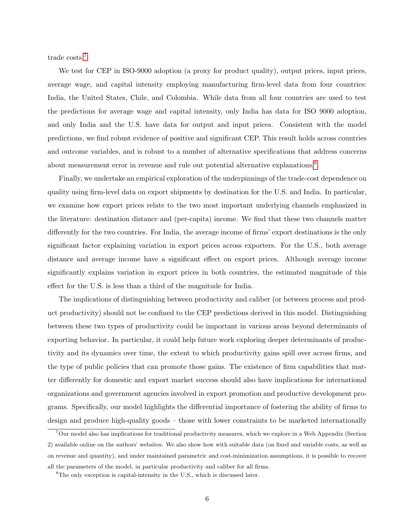trade costs.[7](#page-6-0)

We test for CEP in ISO-9000 adoption (a proxy for product quality), output prices, input prices, average wage, and capital intensity employing manufacturing firm-level data from four countries: India, the United States, Chile, and Colombia. While data from all four countries are used to test the predictions for average wage and capital intensity, only India has data for ISO 9000 adoption, and only India and the U.S. have data for output and input prices. Consistent with the model predictions, we find robust evidence of positive and significant CEP. This result holds across countries and outcome variables, and is robust to a number of alternative specifications that address concerns about measurement error in revenue and rule out potential alternative explanations.<sup>[8](#page-6-1)</sup>

Finally, we undertake an empirical exploration of the underpinnings of the trade-cost dependence on quality using firm-level data on export shipments by destination for the U.S. and India. In particular, we examine how export prices relate to the two most important underlying channels emphasized in the literature: destination distance and (per-capita) income. We find that these two channels matter differently for the two countries. For India, the average income of firms' export destinations is the only significant factor explaining variation in export prices across exporters. For the U.S., both average distance and average income have a significant effect on export prices. Although average income significantly explains variation in export prices in both countries, the estimated magnitude of this effect for the U.S. is less than a third of the magnitude for India.

The implications of distinguishing between productivity and caliber (or between process and product productivity) should not be confined to the CEP predictions derived in this model. Distinguishing between these two types of productivity could be important in various areas beyond determinants of exporting behavior. In particular, it could help future work exploring deeper determinants of productivity and its dynamics over time, the extent to which productivity gains spill over across firms, and the type of public policies that can promote those gains. The existence of firm capabilities that matter differently for domestic and export market success should also have implications for international organizations and government agencies involved in export promotion and productive development programs. Specifically, our model highlights the differential importance of fostering the ability of firms to design and produce high-quality goods – those with lower constraints to be marketed internationally

<span id="page-6-0"></span><sup>7</sup>Our model also has implications for traditional productivity measures, which we explore in a Web Appendix (Section 2) available online on the authors' websites. We also show how with suitable data (on fixed and variable costs, as well as on revenue and quantity), and under maintained parametric and cost-minimization assumptions, it is possible to recover all the parameters of the model, in particular productivity and caliber for all firms.

<span id="page-6-1"></span><sup>8</sup>The only exception is capital-intensity in the U.S., which is discussed later.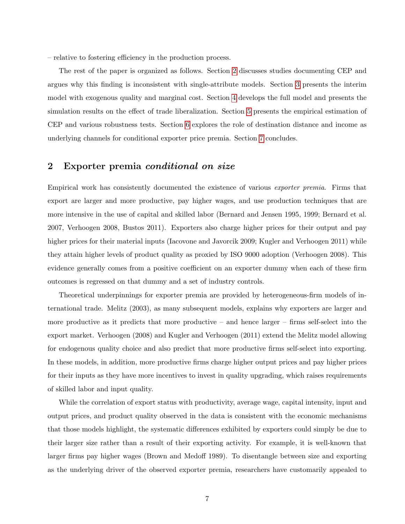– relative to fostering efficiency in the production process.

The rest of the paper is organized as follows. Section [2](#page-7-0) discusses studies documenting CEP and argues why this finding is inconsistent with single-attribute models. Section [3](#page-9-0) presents the interim model with exogenous quality and marginal cost. Section [4](#page-14-0) develops the full model and presents the simulation results on the effect of trade liberalization. Section [5](#page-22-0) presents the empirical estimation of CEP and various robustness tests. Section [6](#page-31-0) explores the role of destination distance and income as underlying channels for conditional exporter price premia. Section [7](#page-32-0) concludes.

### <span id="page-7-0"></span>2 Exporter premia conditional on size

Empirical work has consistently documented the existence of various exporter premia. Firms that export are larger and more productive, pay higher wages, and use production techniques that are more intensive in the use of capital and skilled labor (Bernard and Jensen 1995, 1999; Bernard et al. 2007, Verhoogen 2008, Bustos 2011). Exporters also charge higher prices for their output and pay higher prices for their material inputs (Iacovone and Javorcik 2009; Kugler and Verhoogen 2011) while they attain higher levels of product quality as proxied by ISO 9000 adoption (Verhoogen 2008). This evidence generally comes from a positive coefficient on an exporter dummy when each of these firm outcomes is regressed on that dummy and a set of industry controls.

Theoretical underpinnings for exporter premia are provided by heterogeneous-firm models of international trade. Melitz (2003), as many subsequent models, explains why exporters are larger and more productive as it predicts that more productive – and hence larger – firms self-select into the export market. Verhoogen (2008) and Kugler and Verhoogen (2011) extend the Melitz model allowing for endogenous quality choice and also predict that more productive firms self-select into exporting. In these models, in addition, more productive firms charge higher output prices and pay higher prices for their inputs as they have more incentives to invest in quality upgrading, which raises requirements of skilled labor and input quality.

While the correlation of export status with productivity, average wage, capital intensity, input and output prices, and product quality observed in the data is consistent with the economic mechanisms that those models highlight, the systematic differences exhibited by exporters could simply be due to their larger size rather than a result of their exporting activity. For example, it is well-known that larger firms pay higher wages (Brown and Medoff 1989). To disentangle between size and exporting as the underlying driver of the observed exporter premia, researchers have customarily appealed to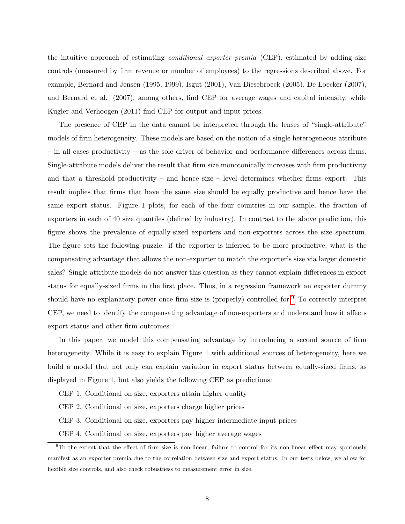the intuitive approach of estimating *conditional exporter premia* (CEP), estimated by adding size controls (measured by firm revenue or number of employees) to the regressions described above. For example, Bernard and Jensen (1995, 1999), Isgut (2001), Van Biesebroeck (2005), De Loecker (2007), and Bernard et al. (2007), among others, find CEP for average wages and capital intensity, while Kugler and Verhoogen (2011) find CEP for output and input prices.

The presence of CEP in the data cannot be interpreted through the lenses of "single-attribute" models of firm heterogeneity. These models are based on the notion of a single heterogeneous attribute – in all cases productivity – as the sole driver of behavior and performance differences across firms. Single-attribute models deliver the result that firm size monotonically increases with firm productivity and that a threshold productivity – and hence size – level determines whether firms export. This result implies that firms that have the same size should be equally productive and hence have the same export status. Figure 1 plots, for each of the four countries in our sample, the fraction of exporters in each of 40 size quantiles (defined by industry). In contrast to the above prediction, this figure shows the prevalence of equally-sized exporters and non-exporters across the size spectrum. The figure sets the following puzzle: if the exporter is inferred to be more productive, what is the compensating advantage that allows the non-exporter to match the exporter's size via larger domestic sales? Single-attribute models do not answer this question as they cannot explain differences in export status for equally-sized firms in the first place. Thus, in a regression framework an exporter dummy should have no explanatory power once firm size is (properly) controlled for.[9](#page-8-0) To correctly interpret CEP, we need to identify the compensating advantage of non-exporters and understand how it affects export status and other firm outcomes.

In this paper, we model this compensating advantage by introducing a second source of firm heterogeneity. While it is easy to explain Figure 1 with additional sources of heterogeneity, here we build a model that not only can explain variation in export status between equally-sized firms, as displayed in Figure 1, but also yields the following CEP as predictions:

CEP 1. Conditional on size, exporters attain higher quality

CEP 2. Conditional on size, exporters charge higher prices

CEP 3. Conditional on size, exporters pay higher intermediate input prices

<span id="page-8-0"></span>CEP 4. Conditional on size, exporters pay higher average wages

 $9T<sub>0</sub>$  the extent that the effect of firm size is non-linear, failure to control for its non-linear effect may spuriously manifest as an exporter premia due to the correlation between size and export status. In our tests below, we allow for flexible size controls, and also check robustness to measurement error in size.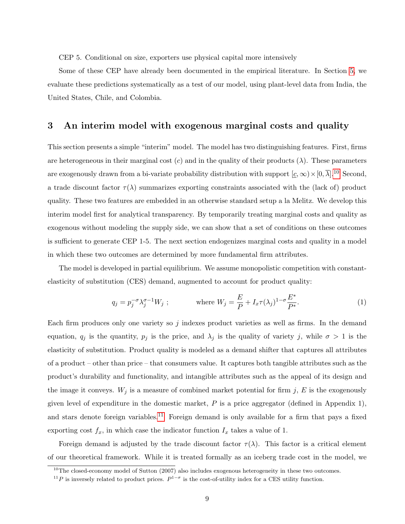CEP 5. Conditional on size, exporters use physical capital more intensively

Some of these CEP have already been documented in the empirical literature. In Section [5,](#page-22-0) we evaluate these predictions systematically as a test of our model, using plant-level data from India, the United States, Chile, and Colombia.

### <span id="page-9-0"></span>3 An interim model with exogenous marginal costs and quality

This section presents a simple "interim" model. The model has two distinguishing features. First, firms are heterogeneous in their marginal cost (c) and in the quality of their products ( $\lambda$ ). These parameters are exogenously drawn from a bi-variate probability distribution with support  $[\underline{c}, \infty) \times [0, \overline{\lambda}]$ .<sup>[10](#page-9-1)</sup> Second, a trade discount factor  $\tau(\lambda)$  summarizes exporting constraints associated with the (lack of) product quality. These two features are embedded in an otherwise standard setup a la Melitz. We develop this interim model first for analytical transparency. By temporarily treating marginal costs and quality as exogenous without modeling the supply side, we can show that a set of conditions on these outcomes is sufficient to generate CEP 1-5. The next section endogenizes marginal costs and quality in a model in which these two outcomes are determined by more fundamental firm attributes.

The model is developed in partial equilibrium. We assume monopolistic competition with constantelasticity of substitution (CES) demand, augmented to account for product quality:

<span id="page-9-3"></span>
$$
q_j = p_j^{-\sigma} \lambda_j^{\sigma-1} W_j ; \qquad \text{where } W_j = \frac{E}{P} + I_x \tau(\lambda_j)^{1-\sigma} \frac{E^*}{P^*}.
$$
 (1)

Each firm produces only one variety so j indexes product varieties as well as firms. In the demand equation,  $q_j$  is the quantity,  $p_j$  is the price, and  $\lambda_j$  is the quality of variety j, while  $\sigma > 1$  is the elasticity of substitution. Product quality is modeled as a demand shifter that captures all attributes of a product – other than price – that consumers value. It captures both tangible attributes such as the product's durability and functionality, and intangible attributes such as the appeal of its design and the image it conveys.  $W_j$  is a measure of combined market potential for firm j, E is the exogenously given level of expenditure in the domestic market,  $P$  is a price aggregator (defined in Appendix 1), and stars denote foreign variables.<sup>[11](#page-9-2)</sup> Foreign demand is only available for a firm that pays a fixed exporting cost  $f_x$ , in which case the indicator function  $I_x$  takes a value of 1.

Foreign demand is adjusted by the trade discount factor  $\tau(\lambda)$ . This factor is a critical element of our theoretical framework. While it is treated formally as an iceberg trade cost in the model, we

<span id="page-9-2"></span><span id="page-9-1"></span> $10$ The closed-economy model of Sutton (2007) also includes exogenous heterogeneity in these two outcomes.

<sup>&</sup>lt;sup>11</sup>P is inversely related to product prices.  $P^{1-\sigma}$  is the cost-of-utility index for a CES utility function.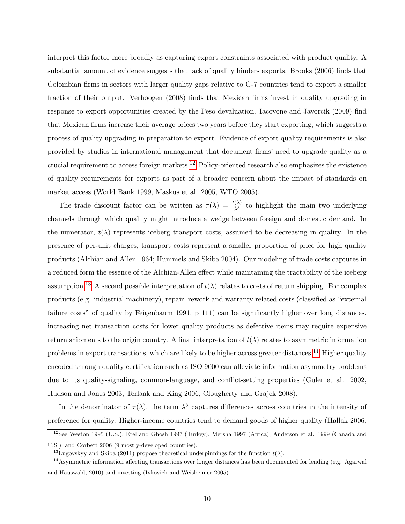interpret this factor more broadly as capturing export constraints associated with product quality. A substantial amount of evidence suggests that lack of quality hinders exports. Brooks (2006) finds that Colombian firms in sectors with larger quality gaps relative to G-7 countries tend to export a smaller fraction of their output. Verhoogen (2008) finds that Mexican firms invest in quality upgrading in response to export opportunities created by the Peso devaluation. Iacovone and Javorcik (2009) find that Mexican firms increase their average prices two years before they start exporting, which suggests a process of quality upgrading in preparation to export. Evidence of export quality requirements is also provided by studies in international management that document firms' need to upgrade quality as a crucial requirement to access foreign markets.[12](#page-10-0) Policy-oriented research also emphasizes the existence of quality requirements for exports as part of a broader concern about the impact of standards on market access (World Bank 1999, Maskus et al. 2005, WTO 2005).

The trade discount factor can be written as  $\tau(\lambda) = \frac{t(\lambda)}{\lambda^{\delta}}$  to highlight the main two underlying channels through which quality might introduce a wedge between foreign and domestic demand. In the numerator,  $t(\lambda)$  represents iceberg transport costs, assumed to be decreasing in quality. In the presence of per-unit charges, transport costs represent a smaller proportion of price for high quality products (Alchian and Allen 1964; Hummels and Skiba 2004). Our modeling of trade costs captures in a reduced form the essence of the Alchian-Allen effect while maintaining the tractability of the iceberg assumption.<sup>[13](#page-10-1)</sup> A second possible interpretation of  $t(\lambda)$  relates to costs of return shipping. For complex products (e.g. industrial machinery), repair, rework and warranty related costs (classified as "external failure costs" of quality by Feigenbaum 1991, p 111) can be significantly higher over long distances, increasing net transaction costs for lower quality products as defective items may require expensive return shipments to the origin country. A final interpretation of  $t(\lambda)$  relates to asymmetric information problems in export transactions, which are likely to be higher across greater distances.[14](#page-10-2) Higher quality encoded through quality certification such as ISO 9000 can alleviate information asymmetry problems due to its quality-signaling, common-language, and conflict-setting properties (Guler et al. 2002, Hudson and Jones 2003, Terlaak and King 2006, Clougherty and Grajek 2008).

In the denominator of  $\tau(\lambda)$ , the term  $\lambda^{\delta}$  captures differences across countries in the intensity of preference for quality. Higher-income countries tend to demand goods of higher quality (Hallak 2006,

<span id="page-10-0"></span> $12$ See Weston 1995 (U.S.), Erel and Ghosh 1997 (Turkey), Mersha 1997 (Africa), Anderson et al. 1999 (Canada and U.S.), and Corbett 2006 (9 mostly-developed countries).

<span id="page-10-2"></span><span id="page-10-1"></span><sup>&</sup>lt;sup>13</sup>Lugovskyy and Skiba (2011) propose theoretical underpinnings for the function  $t(\lambda)$ .

 $14$ Asymmetric information affecting transactions over longer distances has been documented for lending (e.g. Agarwal and Hauswald, 2010) and investing (Ivkovich and Weisbenner 2005).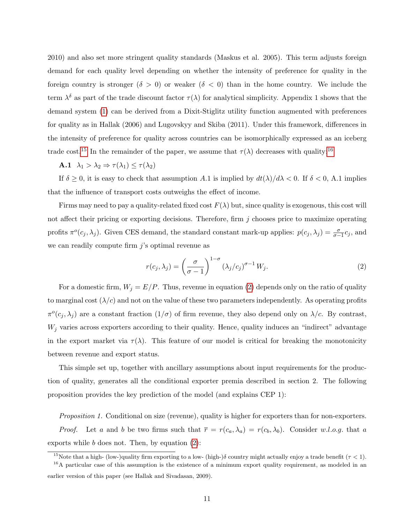2010) and also set more stringent quality standards (Maskus et al. 2005). This term adjusts foreign demand for each quality level depending on whether the intensity of preference for quality in the foreign country is stronger  $(\delta > 0)$  or weaker  $(\delta < 0)$  than in the home country. We include the term  $\lambda^{\delta}$  as part of the trade discount factor  $\tau(\lambda)$  for analytical simplicity. Appendix 1 shows that the demand system [\(1\)](#page-9-3) can be derived from a Dixit-Stiglitz utility function augmented with preferences for quality as in Hallak (2006) and Lugovskyy and Skiba (2011). Under this framework, differences in the intensity of preference for quality across countries can be isomorphically expressed as an iceberg trade cost.<sup>[15](#page-11-0)</sup> In the remainder of the paper, we assume that  $\tau(\lambda)$  decreases with quality:<sup>[16](#page-11-1)</sup>

**A.1**  $\lambda_1 > \lambda_2 \Rightarrow \tau(\lambda_1) \leq \tau(\lambda_2)$ 

If  $\delta \geq 0$ , it is easy to check that assumption A.1 is implied by  $dt(\lambda)/d\lambda < 0$ . If  $\delta < 0$ , A.1 implies that the influence of transport costs outweighs the effect of income.

Firms may need to pay a quality-related fixed cost  $F(\lambda)$  but, since quality is exogenous, this cost will not affect their pricing or exporting decisions. Therefore, firm j chooses price to maximize operating profits  $\pi^o(c_j, \lambda_j)$ . Given CES demand, the standard constant mark-up applies:  $p(c_j, \lambda_j) = \frac{\sigma}{\sigma-1}c_j$ , and we can readily compute firm  $j$ 's optimal revenue as

<span id="page-11-2"></span>
$$
r(c_j, \lambda_j) = \left(\frac{\sigma}{\sigma - 1}\right)^{1 - \sigma} (\lambda_j/c_j)^{\sigma - 1} W_j.
$$
 (2)

For a domestic firm,  $W_j = E/P$ . Thus, revenue in equation [\(2\)](#page-11-2) depends only on the ratio of quality to marginal cost  $(\lambda/c)$  and not on the value of these two parameters independently. As operating profits  $\pi^o(c_j, \lambda_j)$  are a constant fraction  $(1/\sigma)$  of firm revenue, they also depend only on  $\lambda/c$ . By contrast,  $W_i$  varies across exporters according to their quality. Hence, quality induces an "indirect" advantage in the export market via  $\tau(\lambda)$ . This feature of our model is critical for breaking the monotonicity between revenue and export status.

This simple set up, together with ancillary assumptions about input requirements for the production of quality, generates all the conditional exporter premia described in section 2. The following proposition provides the key prediction of the model (and explains CEP 1):

Proposition 1. Conditional on size (revenue), quality is higher for exporters than for non-exporters.

*Proof.* Let a and b be two firms such that  $\overline{r} = r(c_a, \lambda_a) = r(c_b, \lambda_b)$ . Consider w.l.o.g. that a exports while  $b$  does not. Then, by equation  $(2)$ :

<span id="page-11-1"></span><span id="page-11-0"></span><sup>&</sup>lt;sup>15</sup>Note that a high- (low-)quality firm exporting to a low- (high-) $\delta$  country might actually enjoy a trade benefit ( $\tau$  < 1).

<sup>&</sup>lt;sup>16</sup>A particular case of this assumption is the existence of a minimum export quality requirement, as modeled in an earlier version of this paper (see Hallak and Sivadasan, 2009).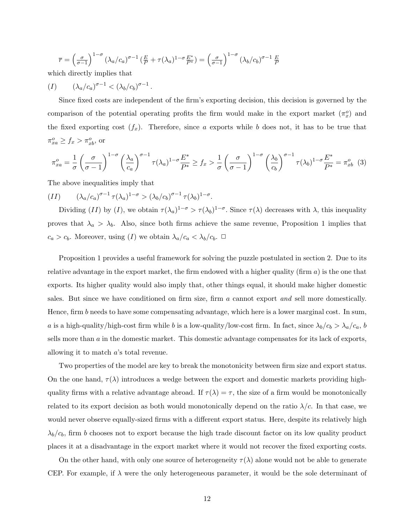$$
\overline{r} = \left(\frac{\sigma}{\sigma - 1}\right)^{1 - \sigma} \left(\lambda_a/c_a\right)^{\sigma - 1} \left(\frac{E}{P} + \tau(\lambda_a)^{1 - \sigma} \frac{E^*}{P^*}\right) = \left(\frac{\sigma}{\sigma - 1}\right)^{1 - \sigma} \left(\lambda_b/c_b\right)^{\sigma - 1} \frac{E}{P}
$$

.

which directly implies that

$$
(I) \qquad (\lambda_a/c_a)^{\sigma-1} < (\lambda_b/c_b)^{\sigma-1}
$$

Since fixed costs are independent of the firm's exporting decision, this decision is governed by the comparison of the potential operating profits the firm would make in the export market  $(\pi_x^o)$  and the fixed exporting cost  $(f_x)$ . Therefore, since a exports while b does not, it has to be true that  $\pi_{xa}^o \ge f_x > \pi_{xb}^o$ , or

$$
\pi_{xa}^o = \frac{1}{\sigma} \left( \frac{\sigma}{\sigma - 1} \right)^{1 - \sigma} \left( \frac{\lambda_a}{c_a} \right)^{\sigma - 1} \tau(\lambda_a)^{1 - \sigma} \frac{E^*}{P^*} \ge f_x > \frac{1}{\sigma} \left( \frac{\sigma}{\sigma - 1} \right)^{1 - \sigma} \left( \frac{\lambda_b}{c_b} \right)^{\sigma - 1} \tau(\lambda_b)^{1 - \sigma} \frac{E^*}{P^*} = \pi_{xb}^o \tag{3}
$$

The above inequalities imply that

$$
(II) \qquad (\lambda_a/c_a)^{\sigma-1} \tau(\lambda_a)^{1-\sigma} > (\lambda_b/c_b)^{\sigma-1} \tau(\lambda_b)^{1-\sigma}.
$$

Dividing (II) by (I), we obtain  $\tau(\lambda_a)^{1-\sigma} > \tau(\lambda_b)^{1-\sigma}$ . Since  $\tau(\lambda)$  decreases with  $\lambda$ , this inequality proves that  $\lambda_a > \lambda_b$ . Also, since both firms achieve the same revenue, Proposition 1 implies that  $c_a > c_b$ . Moreover, using (I) we obtain  $\lambda_a/c_a < \lambda_b/c_b$ .  $\Box$ 

Proposition 1 provides a useful framework for solving the puzzle postulated in section 2. Due to its relative advantage in the export market, the firm endowed with a higher quality (firm  $a$ ) is the one that exports. Its higher quality would also imply that, other things equal, it should make higher domestic sales. But since we have conditioned on firm size, firm a cannot export and sell more domestically. Hence, firm b needs to have some compensating advantage, which here is a lower marginal cost. In sum, a is a high-quality/high-cost firm while b is a low-quality/low-cost firm. In fact, since  $\lambda_b/c_b > \lambda_a/c_a$ , b sells more than  $a$  in the domestic market. This domestic advantage compensates for its lack of exports, allowing it to match a's total revenue.

Two properties of the model are key to break the monotonicity between firm size and export status. On the one hand,  $\tau(\lambda)$  introduces a wedge between the export and domestic markets providing highquality firms with a relative advantage abroad. If  $\tau(\lambda) = \tau$ , the size of a firm would be monotonically related to its export decision as both would monotonically depend on the ratio  $\lambda/c$ . In that case, we would never observe equally-sized firms with a different export status. Here, despite its relatively high  $\lambda_b/c_b$ , firm b chooses not to export because the high trade discount factor on its low quality product places it at a disadvantage in the export market where it would not recover the fixed exporting costs.

On the other hand, with only one source of heterogeneity  $\tau(\lambda)$  alone would not be able to generate CEP. For example, if  $\lambda$  were the only heterogeneous parameter, it would be the sole determinant of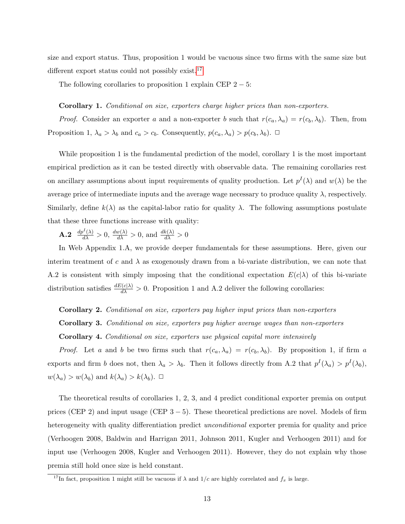size and export status. Thus, proposition 1 would be vacuous since two firms with the same size but different export status could not possibly exist.<sup>[17](#page-13-0)</sup>

The following corollaries to proposition 1 explain CEP  $2 - 5$ :

#### Corollary 1. Conditional on size, exporters charge higher prices than non-exporters.

*Proof.* Consider an exporter a and a non-exporter b such that  $r(c_a, \lambda_a) = r(c_b, \lambda_b)$ . Then, from Proposition 1,  $\lambda_a > \lambda_b$  and  $c_a > c_b$ . Consequently,  $p(c_a, \lambda_a) > p(c_b, \lambda_b)$ .  $\Box$ 

While proposition 1 is the fundamental prediction of the model, corollary 1 is the most important empirical prediction as it can be tested directly with observable data. The remaining corollaries rest on ancillary assumptions about input requirements of quality production. Let  $p<sup>I</sup>(\lambda)$  and  $w(\lambda)$  be the average price of intermediate inputs and the average wage necessary to produce quality  $\lambda$ , respectively. Similarly, define  $k(\lambda)$  as the capital-labor ratio for quality  $\lambda$ . The following assumptions postulate that these three functions increase with quality:

**A.2**  $\frac{dp^I(\lambda)}{d\lambda} > 0$ ,  $\frac{dw(\lambda)}{d\lambda} > 0$ , and  $\frac{dk(\lambda)}{d\lambda} > 0$ 

In Web Appendix 1.A, we provide deeper fundamentals for these assumptions. Here, given our interim treatment of c and  $\lambda$  as exogenously drawn from a bi-variate distribution, we can note that A.2 is consistent with simply imposing that the conditional expectation  $E(c|\lambda)$  of this bi-variate distribution satisfies  $\frac{dE(c|\lambda)}{d\lambda} > 0$ . Proposition 1 and A.2 deliver the following corollaries:

#### Corollary 2. Conditional on size, exporters pay higher input prices than non-exporters

Corollary 3. Conditional on size, exporters pay higher average wages than non-exporters

Corollary 4. Conditional on size, exporters use physical capital more intensively

*Proof.* Let a and b be two firms such that  $r(c_a, \lambda_a) = r(c_b, \lambda_b)$ . By proposition 1, if firm a exports and firm b does not, then  $\lambda_a > \lambda_b$ . Then it follows directly from A.2 that  $p^I(\lambda_a) > p^I(\lambda_b)$ ,  $w(\lambda_a) > w(\lambda_b)$  and  $k(\lambda_a) > k(\lambda_b)$ .  $\Box$ 

The theoretical results of corollaries 1, 2, 3, and 4 predict conditional exporter premia on output prices (CEP 2) and input usage (CEP  $3-5$ ). These theoretical predictions are novel. Models of firm heterogeneity with quality differentiation predict *unconditional* exporter premia for quality and price (Verhoogen 2008, Baldwin and Harrigan 2011, Johnson 2011, Kugler and Verhoogen 2011) and for input use (Verhoogen 2008, Kugler and Verhoogen 2011). However, they do not explain why those premia still hold once size is held constant.

<span id="page-13-0"></span><sup>&</sup>lt;sup>17</sup>In fact, proposition 1 might still be vacuous if  $\lambda$  and  $1/c$  are highly correlated and  $f_x$  is large.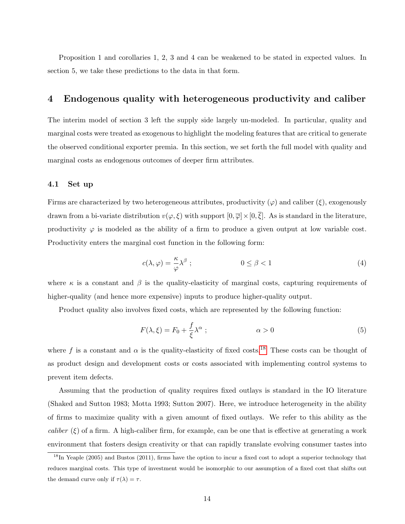Proposition 1 and corollaries 1, 2, 3 and 4 can be weakened to be stated in expected values. In section 5, we take these predictions to the data in that form.

### <span id="page-14-0"></span>4 Endogenous quality with heterogeneous productivity and caliber

The interim model of section 3 left the supply side largely un-modeled. In particular, quality and marginal costs were treated as exogenous to highlight the modeling features that are critical to generate the observed conditional exporter premia. In this section, we set forth the full model with quality and marginal costs as endogenous outcomes of deeper firm attributes.

#### 4.1 Set up

Firms are characterized by two heterogeneous attributes, productivity  $(\varphi)$  and caliber  $(\xi)$ , exogenously drawn from a bi-variate distribution  $v(\varphi, \xi)$  with support  $[0, \overline{\varphi}] \times [0, \overline{\xi}]$ . As is standard in the literature, productivity  $\varphi$  is modeled as the ability of a firm to produce a given output at low variable cost. Productivity enters the marginal cost function in the following form:

<span id="page-14-2"></span>
$$
c(\lambda, \varphi) = \frac{\kappa}{\varphi} \lambda^{\beta} ; \qquad 0 \le \beta < 1
$$
 (4)

where  $\kappa$  is a constant and  $\beta$  is the quality-elasticity of marginal costs, capturing requirements of higher-quality (and hence more expensive) inputs to produce higher-quality output.

Product quality also involves fixed costs, which are represented by the following function:

<span id="page-14-3"></span>
$$
F(\lambda,\xi) = F_0 + \frac{f}{\xi} \lambda^{\alpha} ; \qquad \alpha > 0
$$
\n(5)

where f is a constant and  $\alpha$  is the quality-elasticity of fixed costs.<sup>[18](#page-14-1)</sup> These costs can be thought of as product design and development costs or costs associated with implementing control systems to prevent item defects.

Assuming that the production of quality requires fixed outlays is standard in the IO literature (Shaked and Sutton 1983; Motta 1993; Sutton 2007). Here, we introduce heterogeneity in the ability of firms to maximize quality with a given amount of fixed outlays. We refer to this ability as the caliber  $(\xi)$  of a firm. A high-caliber firm, for example, can be one that is effective at generating a work environment that fosters design creativity or that can rapidly translate evolving consumer tastes into

<span id="page-14-1"></span> $18$ In Yeaple (2005) and Bustos (2011), firms have the option to incur a fixed cost to adopt a superior technology that reduces marginal costs. This type of investment would be isomorphic to our assumption of a fixed cost that shifts out the demand curve only if  $\tau(\lambda) = \tau$ .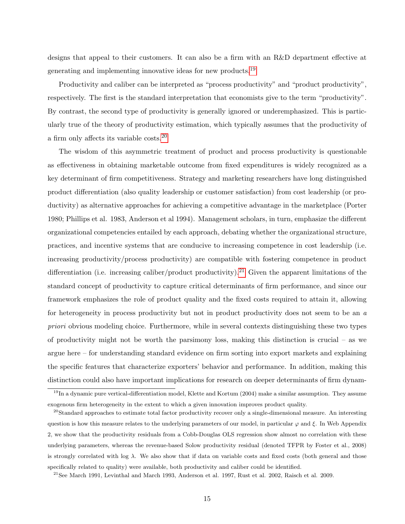designs that appeal to their customers. It can also be a firm with an R&D department effective at generating and implementing innovative ideas for new products.[19](#page-15-0)

Productivity and caliber can be interpreted as "process productivity" and "product productivity", respectively. The first is the standard interpretation that economists give to the term "productivity". By contrast, the second type of productivity is generally ignored or underemphasized. This is particularly true of the theory of productivity estimation, which typically assumes that the productivity of a firm only affects its variable costs.[20](#page-15-1)

The wisdom of this asymmetric treatment of product and process productivity is questionable as effectiveness in obtaining marketable outcome from fixed expenditures is widely recognized as a key determinant of firm competitiveness. Strategy and marketing researchers have long distinguished product differentiation (also quality leadership or customer satisfaction) from cost leadership (or productivity) as alternative approaches for achieving a competitive advantage in the marketplace (Porter 1980; Phillips et al. 1983, Anderson et al 1994). Management scholars, in turn, emphasize the different organizational competencies entailed by each approach, debating whether the organizational structure, practices, and incentive systems that are conducive to increasing competence in cost leadership (i.e. increasing productivity/process productivity) are compatible with fostering competence in product differentiation (i.e. increasing caliber/product productivity).<sup>[21](#page-15-2)</sup> Given the apparent limitations of the standard concept of productivity to capture critical determinants of firm performance, and since our framework emphasizes the role of product quality and the fixed costs required to attain it, allowing for heterogeneity in process productivity but not in product productivity does not seem to be an a priori obvious modeling choice. Furthermore, while in several contexts distinguishing these two types of productivity might not be worth the parsimony loss, making this distinction is crucial – as we argue here – for understanding standard evidence on firm sorting into export markets and explaining the specific features that characterize exporters' behavior and performance. In addition, making this distinction could also have important implications for research on deeper determinants of firm dynam-

<span id="page-15-0"></span> $^{19}$ In a dynamic pure vertical-differentiation model, Klette and Kortum (2004) make a similar assumption. They assume exogenous firm heterogeneity in the extent to which a given innovation improves product quality.

<span id="page-15-1"></span> $20$ Standard approaches to estimate total factor productivity recover only a single-dimensional measure. An interesting question is how this measure relates to the underlying parameters of our model, in particular  $\varphi$  and  $\xi$ . In Web Appendix 2, we show that the productivity residuals from a Cobb-Douglas OLS regression show almost no correlation with these underlying parameters, whereas the revenue-based Solow productivity residual (denoted TFPR by Foster et al., 2008) is strongly correlated with log  $\lambda$ . We also show that if data on variable costs and fixed costs (both general and those specifically related to quality) were available, both productivity and caliber could be identified.

<span id="page-15-2"></span><sup>&</sup>lt;sup>21</sup>See March 1991, Levinthal and March 1993, Anderson et al. 1997, Rust et al. 2002, Raisch et al. 2009.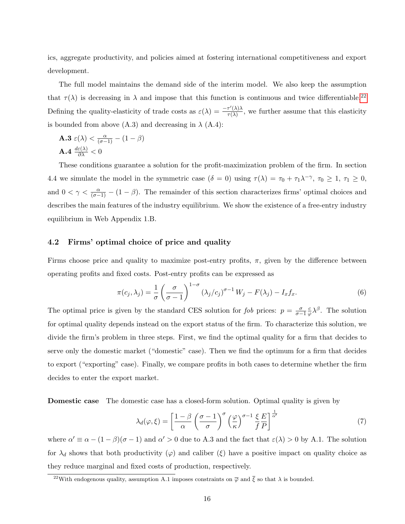ics, aggregate productivity, and policies aimed at fostering international competitiveness and export development.

The full model maintains the demand side of the interim model. We also keep the assumption that  $\tau(\lambda)$  is decreasing in  $\lambda$  and impose that this function is continuous and twice differentiable.<sup>[22](#page-16-0)</sup> Defining the quality-elasticity of trade costs as  $\varepsilon(\lambda) = \frac{-\tau'(\lambda)\lambda}{\tau(\lambda)}$  $\frac{\tau(\lambda)}{\tau(\lambda)}$ , we further assume that this elasticity is bounded from above  $(A.3)$  and decreasing in  $\lambda$   $(A.4)$ :

**A.3**  $\varepsilon(\lambda) < \frac{\alpha}{(\sigma-1)} - (1-\beta)$  $\mathbf{A.4}\;\frac{d\varepsilon(\lambda)}{\partial\lambda}<0$ 

These conditions guarantee a solution for the profit-maximization problem of the firm. In section 4.4 we simulate the model in the symmetric case  $(\delta = 0)$  using  $\tau(\lambda) = \tau_0 + \tau_1 \lambda^{-\gamma}, \tau_0 \geq 1, \tau_1 \geq 0$ , and  $0 < \gamma < \frac{\alpha}{(\sigma-1)} - (1-\beta)$ . The remainder of this section characterizes firms' optimal choices and describes the main features of the industry equilibrium. We show the existence of a free-entry industry equilibrium in Web Appendix 1.B.

#### 4.2 Firms' optimal choice of price and quality

Firms choose price and quality to maximize post-entry profits,  $\pi$ , given by the difference between operating profits and fixed costs. Post-entry profits can be expressed as

$$
\pi(c_j, \lambda_j) = \frac{1}{\sigma} \left( \frac{\sigma}{\sigma - 1} \right)^{1 - \sigma} \left( \lambda_j / c_j \right)^{\sigma - 1} W_j - F(\lambda_j) - I_x f_x. \tag{6}
$$

The optimal price is given by the standard CES solution for fob prices:  $p = \frac{\sigma}{\sigma - 1} \frac{c}{\varphi}$  $\frac{c}{\varphi} \lambda^{\beta}$ . The solution for optimal quality depends instead on the export status of the firm. To characterize this solution, we divide the firm's problem in three steps. First, we find the optimal quality for a firm that decides to serve only the domestic market ("domestic" case). Then we find the optimum for a firm that decides to export ("exporting" case). Finally, we compare profits in both cases to determine whether the firm decides to enter the export market.

**Domestic case** The domestic case has a closed-form solution. Optimal quality is given by

<span id="page-16-1"></span>
$$
\lambda_d(\varphi,\xi) = \left[\frac{1-\beta}{\alpha} \left(\frac{\sigma-1}{\sigma}\right)^{\sigma} \left(\frac{\varphi}{\kappa}\right)^{\sigma-1} \frac{\xi}{f} \frac{E}{P}\right]^{\frac{1}{\alpha'}}
$$
(7)

where  $\alpha' \equiv \alpha - (1 - \beta)(\sigma - 1)$  and  $\alpha' > 0$  due to A.3 and the fact that  $\varepsilon(\lambda) > 0$  by A.1. The solution for  $\lambda_d$  shows that both productivity  $(\varphi)$  and caliber  $(\xi)$  have a positive impact on quality choice as they reduce marginal and fixed costs of production, respectively.

<span id="page-16-0"></span><sup>&</sup>lt;sup>22</sup>With endogenous quality, assumption A.1 imposes constraints on  $\overline{\varphi}$  and  $\overline{\xi}$  so that  $\lambda$  is bounded.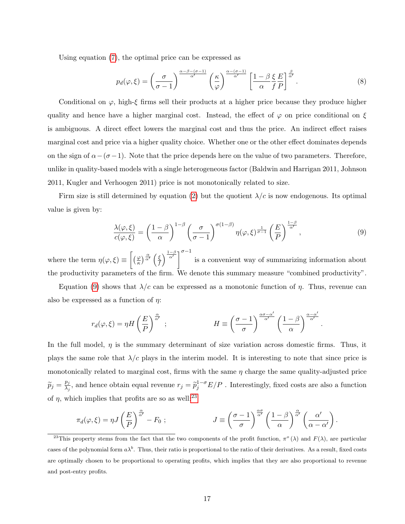Using equation [\(7\)](#page-16-1), the optimal price can be expressed as

$$
p_d(\varphi,\xi) = \left(\frac{\sigma}{\sigma-1}\right)^{\frac{\alpha-\beta-(\sigma-1)}{\alpha'}} \left(\frac{\kappa}{\varphi}\right)^{\frac{\alpha-(\sigma-1)}{\alpha'}} \left[\frac{1-\beta \xi E}{\alpha f P}\right]^{\frac{\beta}{\alpha'}}.
$$
\n(8)

Conditional on  $\varphi$ , high-ξ firms sell their products at a higher price because they produce higher quality and hence have a higher marginal cost. Instead, the effect of  $\varphi$  on price conditional on  $\xi$ is ambiguous. A direct effect lowers the marginal cost and thus the price. An indirect effect raises marginal cost and price via a higher quality choice. Whether one or the other effect dominates depends on the sign of  $\alpha-(\sigma-1)$ . Note that the price depends here on the value of two parameters. Therefore, unlike in quality-based models with a single heterogeneous factor (Baldwin and Harrigan 2011, Johnson 2011, Kugler and Verhoogen 2011) price is not monotonically related to size.

Firm size is still determined by equation [\(2\)](#page-11-2) but the quotient  $\lambda/c$  is now endogenous. Its optimal value is given by:

<span id="page-17-0"></span>
$$
\frac{\lambda(\varphi,\xi)}{c(\varphi,\xi)} = \left(\frac{1-\beta}{\alpha}\right)^{1-\beta} \left(\frac{\sigma}{\sigma-1}\right)^{\sigma(1-\beta)} \eta(\varphi,\xi)^{\frac{1}{\sigma-1}} \left(\frac{E}{P}\right)^{\frac{1-\beta}{\alpha'}},\tag{9}
$$

where the term  $\eta(\varphi,\xi) \equiv \left[ \left(\frac{\varphi}{\kappa}\right)^{\frac{\alpha}{\alpha'}} \left(\frac{\xi}{f}\right) \right]$  $\frac{\xi}{f}$   $\int_0^{\frac{1-\beta}{\alpha'}}$   $\int_0^{\frac{\pi}{\alpha'}}$  is a convenient way of summarizing information about the productivity parameters of the firm. We denote this summary measure "combined productivity".

Equation [\(9\)](#page-17-0) shows that  $λ/c$  can be expressed as a monotonic function of  $η$ . Thus, revenue can also be expressed as a function of  $\eta$ :

$$
r_d(\varphi,\xi) = \eta H\left(\frac{E}{P}\right)^{\frac{\alpha}{\alpha'}}\,;\qquad\qquad H \equiv \left(\frac{\sigma-1}{\sigma}\right)^{\frac{\alpha\sigma-\alpha'}{\alpha'}}\left(\frac{1-\beta}{\alpha}\right)^{\frac{\alpha-\alpha'}{\alpha'}}.
$$

In the full model,  $\eta$  is the summary determinant of size variation across domestic firms. Thus, it plays the same role that  $\lambda/c$  plays in the interim model. It is interesting to note that since price is monotonically related to marginal cost, firms with the same  $\eta$  charge the same quality-adjusted price  $\widetilde{p}_j = \frac{p_j}{\lambda_j}$  $\frac{p_j}{\lambda_j}$ , and hence obtain equal revenue  $r_j = \tilde{p}_j^{1-\sigma} E/P$ . Interestingly, fixed costs are also a function of  $\eta$ , which implies that profits are so as well:<sup>[23](#page-17-1)</sup>

$$
\pi_d(\varphi,\xi) = \eta J\left(\frac{E}{P}\right)^{\frac{\alpha}{\alpha'}} - F_0 ; \qquad J \equiv \left(\frac{\sigma-1}{\sigma}\right)^{\frac{\alpha\sigma}{\alpha'}} \left(\frac{1-\beta}{\alpha}\right)^{\frac{\alpha}{\alpha'}} \left(\frac{\alpha'}{\alpha-\alpha'}\right).
$$

<span id="page-17-1"></span><sup>&</sup>lt;sup>23</sup>This property stems from the fact that the two components of the profit function,  $\pi^{\circ}(\lambda)$  and  $F(\lambda)$ , are particular cases of the polynomial form  $a\lambda^b$ . Thus, their ratio is proportional to the ratio of their derivatives. As a result, fixed costs are optimally chosen to be proportional to operating profits, which implies that they are also proportional to revenue and post-entry profits.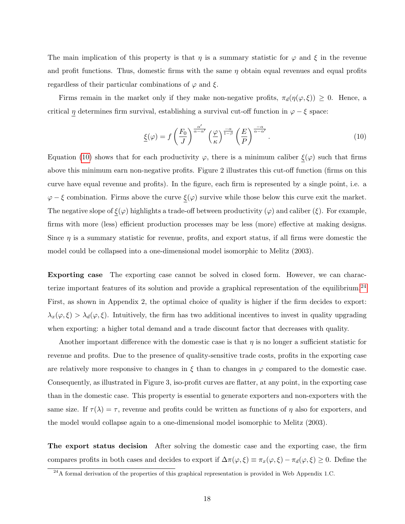The main implication of this property is that  $\eta$  is a summary statistic for  $\varphi$  and  $\xi$  in the revenue and profit functions. Thus, domestic firms with the same  $\eta$  obtain equal revenues and equal profits regardless of their particular combinations of  $\varphi$  and  $\xi$ .

Firms remain in the market only if they make non-negative profits,  $\pi_d(\eta(\varphi,\xi)) \geq 0$ . Hence, a critical  $\eta$  determines firm survival, establishing a survival cut-off function in  $\varphi - \xi$  space:

<span id="page-18-0"></span>
$$
\underline{\xi}(\varphi) = f\left(\frac{F_0}{J}\right)^{\frac{\alpha'}{\alpha - \alpha'}} \left(\frac{\varphi}{\kappa}\right)^{\frac{-\alpha}{1-\beta}} \left(\frac{E}{P}\right)^{\frac{-\alpha}{\alpha - \alpha'}}.
$$
\n(10)

Equation [\(10\)](#page-18-0) shows that for each productivity  $\varphi$ , there is a minimum caliber  $\underline{\xi}(\varphi)$  such that firms above this minimum earn non-negative profits. Figure 2 illustrates this cut-off function (firms on this curve have equal revenue and profits). In the figure, each firm is represented by a single point, i.e. a  $\varphi - \xi$  combination. Firms above the curve  $\xi(\varphi)$  survive while those below this curve exit the market. The negative slope of  $\xi(\varphi)$  highlights a trade-off between productivity  $(\varphi)$  and caliber  $(\xi)$ . For example, firms with more (less) efficient production processes may be less (more) effective at making designs. Since  $\eta$  is a summary statistic for revenue, profits, and export status, if all firms were domestic the model could be collapsed into a one-dimensional model isomorphic to Melitz (2003).

Exporting case The exporting case cannot be solved in closed form. However, we can charac-terize important features of its solution and provide a graphical representation of the equilibrium.<sup>[24](#page-18-1)</sup> First, as shown in Appendix 2, the optimal choice of quality is higher if the firm decides to export:  $\lambda_x(\varphi,\xi) > \lambda_d(\varphi,\xi)$ . Intuitively, the firm has two additional incentives to invest in quality upgrading when exporting: a higher total demand and a trade discount factor that decreases with quality.

Another important difference with the domestic case is that  $\eta$  is no longer a sufficient statistic for revenue and profits. Due to the presence of quality-sensitive trade costs, profits in the exporting case are relatively more responsive to changes in  $\xi$  than to changes in  $\varphi$  compared to the domestic case. Consequently, as illustrated in Figure 3, iso-profit curves are flatter, at any point, in the exporting case than in the domestic case. This property is essential to generate exporters and non-exporters with the same size. If  $\tau(\lambda) = \tau$ , revenue and profits could be written as functions of  $\eta$  also for exporters, and the model would collapse again to a one-dimensional model isomorphic to Melitz (2003).

The export status decision After solving the domestic case and the exporting case, the firm compares profits in both cases and decides to export if  $\Delta \pi(\varphi, \xi) \equiv \pi_x(\varphi, \xi) - \pi_d(\varphi, \xi) \geq 0$ . Define the

<span id="page-18-1"></span><sup>&</sup>lt;sup>24</sup>A formal derivation of the properties of this graphical representation is provided in Web Appendix 1.C.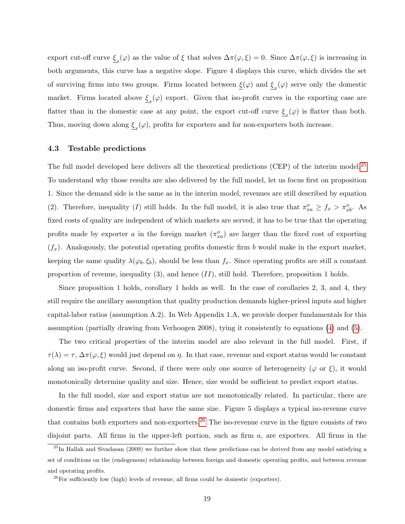export cut-off curve  $\xi_x(\varphi)$  as the value of  $\xi$  that solves  $\Delta \pi(\varphi, \xi) = 0$ . Since  $\Delta \pi(\varphi, \xi)$  is increasing in both arguments, this curve has a negative slope. Figure 4 displays this curve, which divides the set of surviving firms into two groups. Firms located between  $\xi(\varphi)$  and  $\xi_x(\varphi)$  serve only the domestic market. Firms located above  $\xi_x(\varphi)$  export. Given that iso-profit curves in the exporting case are flatter than in the domestic case at any point, the export cut-off curve  $\xi_x(\varphi)$  is flatter than both. Thus, moving down along  $\underline{\xi}_x(\varphi)$ , profits for exporters and for non-exporters both increase.

#### 4.3 Testable predictions

The full model developed here delivers all the theoretical predictions (CEP) of the interim model.[25](#page-19-0) To understand why those results are also delivered by the full model, let us focus first on proposition 1. Since the demand side is the same as in the interim model, revenues are still described by equation (2). Therefore, inequality (I) still holds. In the full model, it is also true that  $\pi_{xa}^o \ge f_x > \pi_{xb}^o$ . As fixed costs of quality are independent of which markets are served, it has to be true that the operating profits made by exporter a in the foreign market  $(\pi_{xa}^o)$  are larger than the fixed cost of exporting  $(f_x)$ . Analogously, the potential operating profits domestic firm b would make in the export market, keeping the same quality  $\lambda(\varphi_b, \xi_b)$ , should be less than  $f_x$ . Since operating profits are still a constant proportion of revenue, inequality  $(3)$ , and hence  $(II)$ , still hold. Therefore, proposition 1 holds.

Since proposition 1 holds, corollary 1 holds as well. In the case of corollaries 2, 3, and 4, they still require the ancillary assumption that quality production demands higher-priced inputs and higher capital-labor ratios (assumption A.2). In Web Appendix 1.A, we provide deeper fundamentals for this assumption (partially drawing from Verhoogen 2008), tying it consistently to equations [\(4\)](#page-14-2) and [\(5\)](#page-14-3).

The two critical properties of the interim model are also relevant in the full model. First, if  $\tau(\lambda) = \tau$ ,  $\Delta \pi(\varphi, \xi)$  would just depend on  $\eta$ . In that case, revenue and export status would be constant along an iso-profit curve. Second, if there were only one source of heterogeneity ( $\varphi$  or  $\xi$ ), it would monotonically determine quality and size. Hence, size would be sufficient to predict export status.

In the full model, size and export status are not monotonically related. In particular, there are domestic firms and exporters that have the same size. Figure 5 displays a typical iso-revenue curve that contains both exporters and non-exporters.[26](#page-19-1) The iso-revenue curve in the figure consists of two disjoint parts. All firms in the upper-left portion, such as firm a, are exporters. All firms in the

<span id="page-19-0"></span> $^{25}$ In Hallak and Sivadasan (2009) we further show that these predictions can be derived from any model satisfying a set of conditions on the (endogenous) relationship between foreign and domestic operating profits, and between revenue and operating profits.

<span id="page-19-1"></span> $^{26}$ For sufficiently low (high) levels of revenue, all firms could be domestic (exporters).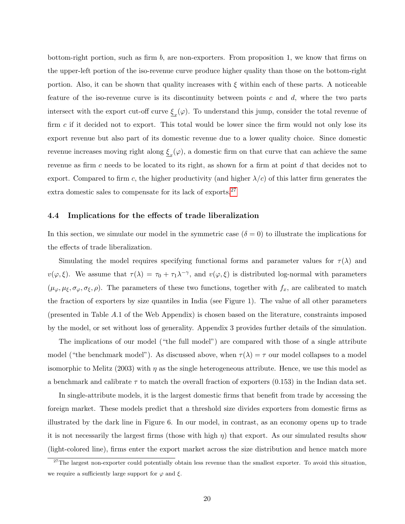bottom-right portion, such as firm  $b$ , are non-exporters. From proposition 1, we know that firms on the upper-left portion of the iso-revenue curve produce higher quality than those on the bottom-right portion. Also, it can be shown that quality increases with  $\xi$  within each of these parts. A noticeable feature of the iso-revenue curve is its discontinuity between points  $c$  and  $d$ , where the two parts intersect with the export cut-off curve  $\underline{\xi}_x(\varphi)$ . To understand this jump, consider the total revenue of firm c if it decided not to export. This total would be lower since the firm would not only lose its export revenue but also part of its domestic revenue due to a lower quality choice. Since domestic revenue increases moving right along  $\xi_x(\varphi)$ , a domestic firm on that curve that can achieve the same revenue as firm c needs to be located to its right, as shown for a firm at point d that decides not to export. Compared to firm c, the higher productivity (and higher  $\lambda/c$ ) of this latter firm generates the extra domestic sales to compensate for its lack of exports.<sup>[27](#page-20-0)</sup>

#### 4.4 Implications for the effects of trade liberalization

In this section, we simulate our model in the symmetric case  $(\delta = 0)$  to illustrate the implications for the effects of trade liberalization.

Simulating the model requires specifying functional forms and parameter values for  $\tau(\lambda)$  and  $v(\varphi,\xi)$ . We assume that  $\tau(\lambda) = \tau_0 + \tau_1 \lambda^{-\gamma}$ , and  $v(\varphi,\xi)$  is distributed log-normal with parameters  $(\mu_{\varphi}, \mu_{\xi}, \sigma_{\varphi}, \sigma_{\xi}, \rho)$ . The parameters of these two functions, together with  $f_x$ , are calibrated to match the fraction of exporters by size quantiles in India (see Figure 1). The value of all other parameters (presented in Table A.1 of the Web Appendix) is chosen based on the literature, constraints imposed by the model, or set without loss of generality. Appendix 3 provides further details of the simulation.

The implications of our model ("the full model") are compared with those of a single attribute model ("the benchmark model"). As discussed above, when  $\tau(\lambda) = \tau$  our model collapses to a model isomorphic to Melitz (2003) with  $\eta$  as the single heterogeneous attribute. Hence, we use this model as a benchmark and calibrate  $\tau$  to match the overall fraction of exporters (0.153) in the Indian data set.

In single-attribute models, it is the largest domestic firms that benefit from trade by accessing the foreign market. These models predict that a threshold size divides exporters from domestic firms as illustrated by the dark line in Figure 6. In our model, in contrast, as an economy opens up to trade it is not necessarily the largest firms (those with high  $\eta$ ) that export. As our simulated results show (light-colored line), firms enter the export market across the size distribution and hence match more

<span id="page-20-0"></span> $27$ The largest non-exporter could potentially obtain less revenue than the smallest exporter. To avoid this situation, we require a sufficiently large support for  $\varphi$  and  $\xi$ .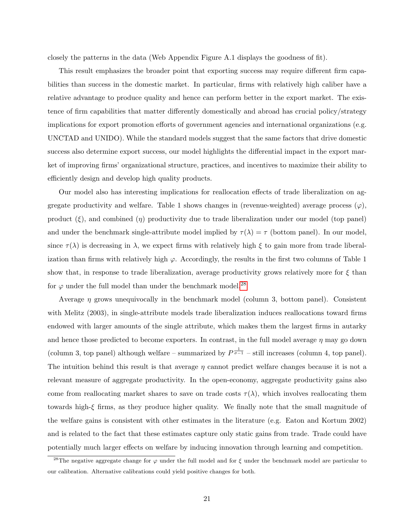closely the patterns in the data (Web Appendix Figure A.1 displays the goodness of fit).

This result emphasizes the broader point that exporting success may require different firm capabilities than success in the domestic market. In particular, firms with relatively high caliber have a relative advantage to produce quality and hence can perform better in the export market. The existence of firm capabilities that matter differently domestically and abroad has crucial policy/strategy implications for export promotion efforts of government agencies and international organizations (e.g. UNCTAD and UNIDO). While the standard models suggest that the same factors that drive domestic success also determine export success, our model highlights the differential impact in the export market of improving firms' organizational structure, practices, and incentives to maximize their ability to efficiently design and develop high quality products.

Our model also has interesting implications for reallocation effects of trade liberalization on aggregate productivity and welfare. Table 1 shows changes in (revenue-weighted) average process  $(\varphi)$ , product  $(\xi)$ , and combined  $(\eta)$  productivity due to trade liberalization under our model (top panel) and under the benchmark single-attribute model implied by  $\tau(\lambda) = \tau$  (bottom panel). In our model, since  $\tau(\lambda)$  is decreasing in  $\lambda$ , we expect firms with relatively high  $\xi$  to gain more from trade liberalization than firms with relatively high  $\varphi$ . Accordingly, the results in the first two columns of Table 1 show that, in response to trade liberalization, average productivity grows relatively more for  $\xi$  than for  $\varphi$  under the full model than under the benchmark model.<sup>[28](#page-21-0)</sup>

Average  $\eta$  grows unequivocally in the benchmark model (column 3, bottom panel). Consistent with Melitz (2003), in single-attribute models trade liberalization induces reallocations toward firms endowed with larger amounts of the single attribute, which makes them the largest firms in autarky and hence those predicted to become exporters. In contrast, in the full model average  $\eta$  may go down (column 3, top panel) although welfare – summarized by  $P^{\frac{1}{\sigma-1}}$  – still increases (column 4, top panel). The intuition behind this result is that average  $\eta$  cannot predict welfare changes because it is not a relevant measure of aggregate productivity. In the open-economy, aggregate productivity gains also come from reallocating market shares to save on trade costs  $\tau(\lambda)$ , which involves reallocating them towards high-ξ firms, as they produce higher quality. We finally note that the small magnitude of the welfare gains is consistent with other estimates in the literature (e.g. Eaton and Kortum 2002) and is related to the fact that these estimates capture only static gains from trade. Trade could have potentially much larger effects on welfare by inducing innovation through learning and competition.

<span id="page-21-0"></span><sup>&</sup>lt;sup>28</sup>The negative aggregate change for  $\varphi$  under the full model and for  $\xi$  under the benchmark model are particular to our calibration. Alternative calibrations could yield positive changes for both.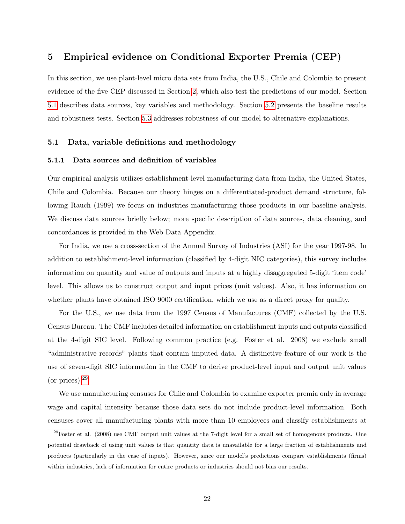### <span id="page-22-0"></span>5 Empirical evidence on Conditional Exporter Premia (CEP)

In this section, we use plant-level micro data sets from India, the U.S., Chile and Colombia to present evidence of the five CEP discussed in Section [2,](#page-7-0) which also test the predictions of our model. Section [5.1](#page-22-1) describes data sources, key variables and methodology. Section [5.2](#page-25-0) presents the baseline results and robustness tests. Section [5.3](#page-29-0) addresses robustness of our model to alternative explanations.

#### <span id="page-22-1"></span>5.1 Data, variable definitions and methodology

#### 5.1.1 Data sources and definition of variables

Our empirical analysis utilizes establishment-level manufacturing data from India, the United States, Chile and Colombia. Because our theory hinges on a differentiated-product demand structure, following Rauch (1999) we focus on industries manufacturing those products in our baseline analysis. We discuss data sources briefly below; more specific description of data sources, data cleaning, and concordances is provided in the Web Data Appendix.

For India, we use a cross-section of the Annual Survey of Industries (ASI) for the year 1997-98. In addition to establishment-level information (classified by 4-digit NIC categories), this survey includes information on quantity and value of outputs and inputs at a highly disaggregated 5-digit 'item code' level. This allows us to construct output and input prices (unit values). Also, it has information on whether plants have obtained ISO 9000 certification, which we use as a direct proxy for quality.

For the U.S., we use data from the 1997 Census of Manufactures (CMF) collected by the U.S. Census Bureau. The CMF includes detailed information on establishment inputs and outputs classified at the 4-digit SIC level. Following common practice (e.g. Foster et al. 2008) we exclude small "administrative records" plants that contain imputed data. A distinctive feature of our work is the use of seven-digit SIC information in the CMF to derive product-level input and output unit values (or prices).[29](#page-22-2)

We use manufacturing censuses for Chile and Colombia to examine exporter premia only in average wage and capital intensity because those data sets do not include product-level information. Both censuses cover all manufacturing plants with more than 10 employees and classify establishments at

<span id="page-22-2"></span> $^{29}$ Foster et al. (2008) use CMF output unit values at the 7-digit level for a small set of homogenous products. One potential drawback of using unit values is that quantity data is unavailable for a large fraction of establishments and products (particularly in the case of inputs). However, since our model's predictions compare establishments (firms) within industries, lack of information for entire products or industries should not bias our results.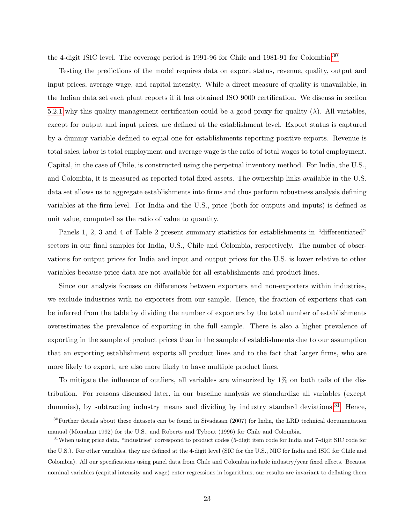the 4-digit ISIC level. The coverage period is 1991-96 for Chile and 1981-91 for Colombia.<sup>[30](#page-23-0)</sup>

Testing the predictions of the model requires data on export status, revenue, quality, output and input prices, average wage, and capital intensity. While a direct measure of quality is unavailable, in the Indian data set each plant reports if it has obtained ISO 9000 certification. We discuss in section [5.2.1](#page-25-1) why this quality management certification could be a good proxy for quality  $(\lambda)$ . All variables, except for output and input prices, are defined at the establishment level. Export status is captured by a dummy variable defined to equal one for establishments reporting positive exports. Revenue is total sales, labor is total employment and average wage is the ratio of total wages to total employment. Capital, in the case of Chile, is constructed using the perpetual inventory method. For India, the U.S., and Colombia, it is measured as reported total fixed assets. The ownership links available in the U.S. data set allows us to aggregate establishments into firms and thus perform robustness analysis defining variables at the firm level. For India and the U.S., price (both for outputs and inputs) is defined as unit value, computed as the ratio of value to quantity.

Panels 1, 2, 3 and 4 of Table 2 present summary statistics for establishments in "differentiated" sectors in our final samples for India, U.S., Chile and Colombia, respectively. The number of observations for output prices for India and input and output prices for the U.S. is lower relative to other variables because price data are not available for all establishments and product lines.

Since our analysis focuses on differences between exporters and non-exporters within industries, we exclude industries with no exporters from our sample. Hence, the fraction of exporters that can be inferred from the table by dividing the number of exporters by the total number of establishments overestimates the prevalence of exporting in the full sample. There is also a higher prevalence of exporting in the sample of product prices than in the sample of establishments due to our assumption that an exporting establishment exports all product lines and to the fact that larger firms, who are more likely to export, are also more likely to have multiple product lines.

To mitigate the influence of outliers, all variables are winsorized by 1% on both tails of the distribution. For reasons discussed later, in our baseline analysis we standardize all variables (except dummies), by subtracting industry means and dividing by industry standard deviations.<sup>[31](#page-23-1)</sup> Hence,

<span id="page-23-0"></span> $30$ Further details about these datasets can be found in Sivadasan (2007) for India, the LRD technical documentation manual (Monahan 1992) for the U.S., and Roberts and Tybout (1996) for Chile and Colombia.

<span id="page-23-1"></span><sup>&</sup>lt;sup>31</sup>When using price data, "industries" correspond to product codes (5-digit item code for India and 7-digit SIC code for the U.S.). For other variables, they are defined at the 4-digit level (SIC for the U.S., NIC for India and ISIC for Chile and Colombia). All our specifications using panel data from Chile and Colombia include industry/year fixed effects. Because nominal variables (capital intensity and wage) enter regressions in logarithms, our results are invariant to deflating them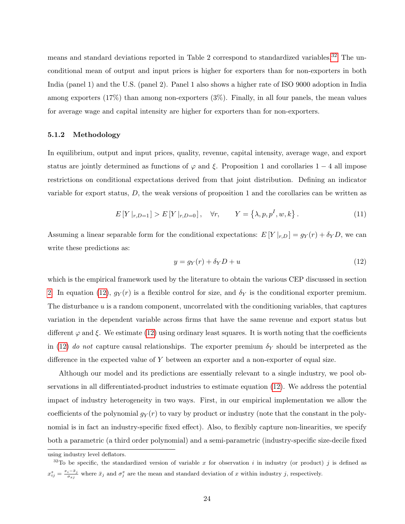means and standard deviations reported in Table 2 correspond to standardized variables.<sup>[32](#page-24-0)</sup> The unconditional mean of output and input prices is higher for exporters than for non-exporters in both India (panel 1) and the U.S. (panel 2). Panel 1 also shows a higher rate of ISO 9000 adoption in India among exporters (17%) than among non-exporters (3%). Finally, in all four panels, the mean values for average wage and capital intensity are higher for exporters than for non-exporters.

#### 5.1.2 Methodology

In equilibrium, output and input prices, quality, revenue, capital intensity, average wage, and export status are jointly determined as functions of  $\varphi$  and  $\xi$ . Proposition 1 and corollaries 1 − 4 all impose restrictions on conditional expectations derived from that joint distribution. Defining an indicator variable for export status, D, the weak versions of proposition 1 and the corollaries can be written as

$$
E[Y|_{r,D=1}] > E[Y|_{r,D=0}], \quad \forall r, \qquad Y = \{\lambda, p, p^I, w, k\}.
$$
 (11)

Assuming a linear separable form for the conditional expectations:  $E[Y|_{r,D}] = g_Y(r) + \delta_Y D$ , we can write these predictions as:

<span id="page-24-1"></span>
$$
y = g_Y(r) + \delta_Y D + u \tag{12}
$$

which is the empirical framework used by the literature to obtain the various CEP discussed in section [2.](#page-7-0) In equation [\(12\)](#page-24-1),  $g_Y(r)$  is a flexible control for size, and  $\delta_Y$  is the conditional exporter premium. The disturbance  $u$  is a random component, uncorrelated with the conditioning variables, that captures variation in the dependent variable across firms that have the same revenue and export status but different  $\varphi$  and  $\xi$ . We estimate [\(12\)](#page-24-1) using ordinary least squares. It is worth noting that the coefficients in [\(12\)](#page-24-1) do not capture causal relationships. The exporter premium  $\delta_Y$  should be interpreted as the difference in the expected value of  $Y$  between an exporter and a non-exporter of equal size.

Although our model and its predictions are essentially relevant to a single industry, we pool observations in all differentiated-product industries to estimate equation [\(12\)](#page-24-1). We address the potential impact of industry heterogeneity in two ways. First, in our empirical implementation we allow the coefficients of the polynomial  $g_Y(r)$  to vary by product or industry (note that the constant in the polynomial is in fact an industry-specific fixed effect). Also, to flexibly capture non-linearities, we specify both a parametric (a third order polynomial) and a semi-parametric (industry-specific size-decile fixed

<span id="page-24-0"></span>using industry level deflators.

<sup>&</sup>lt;sup>32</sup>To be specific, the standardized version of variable x for observation i in industry (or product) j is defined as  $x_{ij}^s = \frac{x_i - \bar{x}_j}{\sigma_{\sigma i}}$  $\frac{i-\bar{x}_j}{\sigma_{xj}}$  where  $\bar{x}_j$  and  $\sigma_j^x$  are the mean and standard deviation of x within industry j, respectively.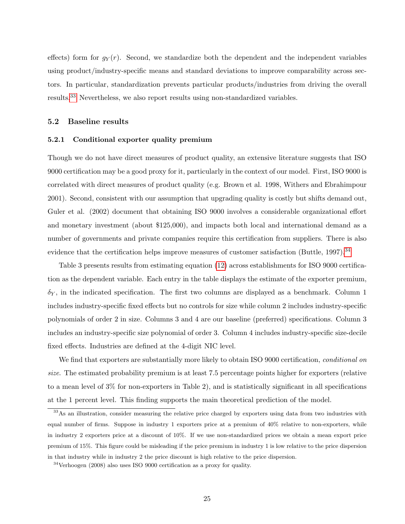effects) form for  $g_Y(r)$ . Second, we standardize both the dependent and the independent variables using product/industry-specific means and standard deviations to improve comparability across sectors. In particular, standardization prevents particular products/industries from driving the overall results.[33](#page-25-2) Nevertheless, we also report results using non-standardized variables.

### <span id="page-25-0"></span>5.2 Baseline results

#### <span id="page-25-1"></span>5.2.1 Conditional exporter quality premium

Though we do not have direct measures of product quality, an extensive literature suggests that ISO 9000 certification may be a good proxy for it, particularly in the context of our model. First, ISO 9000 is correlated with direct measures of product quality (e.g. Brown et al. 1998, Withers and Ebrahimpour 2001). Second, consistent with our assumption that upgrading quality is costly but shifts demand out, Guler et al. (2002) document that obtaining ISO 9000 involves a considerable organizational effort and monetary investment (about \$125,000), and impacts both local and international demand as a number of governments and private companies require this certification from suppliers. There is also evidence that the certification helps improve measures of customer satisfaction (Buttle, 1997).<sup>[34](#page-25-3)</sup>

Table 3 presents results from estimating equation [\(12\)](#page-24-1) across establishments for ISO 9000 certification as the dependent variable. Each entry in the table displays the estimate of the exporter premium,  $\delta_Y$ , in the indicated specification. The first two columns are displayed as a benchmark. Column 1 includes industry-specific fixed effects but no controls for size while column 2 includes industry-specific polynomials of order 2 in size. Columns 3 and 4 are our baseline (preferred) specifications. Column 3 includes an industry-specific size polynomial of order 3. Column 4 includes industry-specific size-decile fixed effects. Industries are defined at the 4-digit NIC level.

We find that exporters are substantially more likely to obtain ISO 9000 certification, *conditional on* size. The estimated probability premium is at least 7.5 percentage points higher for exporters (relative to a mean level of 3% for non-exporters in Table 2), and is statistically significant in all specifications at the 1 percent level. This finding supports the main theoretical prediction of the model.

<span id="page-25-2"></span><sup>&</sup>lt;sup>33</sup>As an illustration, consider measuring the relative price charged by exporters using data from two industries with equal number of firms. Suppose in industry 1 exporters price at a premium of 40% relative to non-exporters, while in industry 2 exporters price at a discount of 10%. If we use non-standardized prices we obtain a mean export price premium of 15%. This figure could be misleading if the price premium in industry 1 is low relative to the price dispersion in that industry while in industry 2 the price discount is high relative to the price dispersion.

<span id="page-25-3"></span><sup>34</sup>Verhoogen (2008) also uses ISO 9000 certification as a proxy for quality.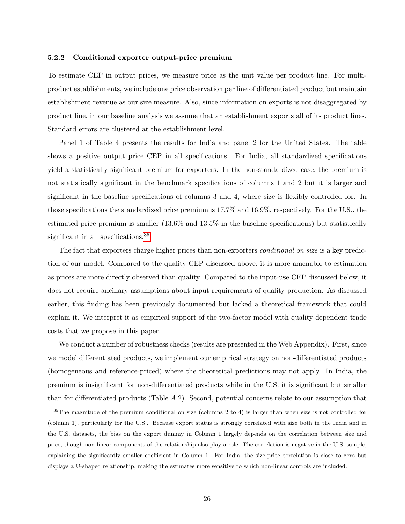#### <span id="page-26-1"></span>5.2.2 Conditional exporter output-price premium

To estimate CEP in output prices, we measure price as the unit value per product line. For multiproduct establishments, we include one price observation per line of differentiated product but maintain establishment revenue as our size measure. Also, since information on exports is not disaggregated by product line, in our baseline analysis we assume that an establishment exports all of its product lines. Standard errors are clustered at the establishment level.

Panel 1 of Table 4 presents the results for India and panel 2 for the United States. The table shows a positive output price CEP in all specifications. For India, all standardized specifications yield a statistically significant premium for exporters. In the non-standardized case, the premium is not statistically significant in the benchmark specifications of columns 1 and 2 but it is larger and significant in the baseline specifications of columns 3 and 4, where size is flexibly controlled for. In those specifications the standardized price premium is 17.7% and 16.9%, respectively. For the U.S., the estimated price premium is smaller (13.6% and 13.5% in the baseline specifications) but statistically significant in all specifications.<sup>[35](#page-26-0)</sup>

The fact that exporters charge higher prices than non-exporters *conditional on size* is a key prediction of our model. Compared to the quality CEP discussed above, it is more amenable to estimation as prices are more directly observed than quality. Compared to the input-use CEP discussed below, it does not require ancillary assumptions about input requirements of quality production. As discussed earlier, this finding has been previously documented but lacked a theoretical framework that could explain it. We interpret it as empirical support of the two-factor model with quality dependent trade costs that we propose in this paper.

We conduct a number of robustness checks (results are presented in the Web Appendix). First, since we model differentiated products, we implement our empirical strategy on non-differentiated products (homogeneous and reference-priced) where the theoretical predictions may not apply. In India, the premium is insignificant for non-differentiated products while in the U.S. it is significant but smaller than for differentiated products (Table A.2). Second, potential concerns relate to our assumption that

<span id="page-26-0"></span> $35$ The magnitude of the premium conditional on size (columns 2 to 4) is larger than when size is not controlled for (column 1), particularly for the U.S.. Because export status is strongly correlated with size both in the India and in the U.S. datasets, the bias on the export dummy in Column 1 largely depends on the correlation between size and price, though non-linear components of the relationship also play a role. The correlation is negative in the U.S. sample, explaining the significantly smaller coefficient in Column 1. For India, the size-price correlation is close to zero but displays a U-shaped relationship, making the estimates more sensitive to which non-linear controls are included.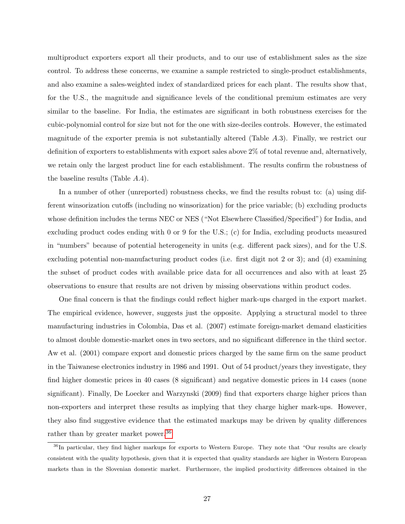multiproduct exporters export all their products, and to our use of establishment sales as the size control. To address these concerns, we examine a sample restricted to single-product establishments, and also examine a sales-weighted index of standardized prices for each plant. The results show that, for the U.S., the magnitude and significance levels of the conditional premium estimates are very similar to the baseline. For India, the estimates are significant in both robustness exercises for the cubic-polynomial control for size but not for the one with size-deciles controls. However, the estimated magnitude of the exporter premia is not substantially altered (Table A.3). Finally, we restrict our definition of exporters to establishments with export sales above 2% of total revenue and, alternatively, we retain only the largest product line for each establishment. The results confirm the robustness of the baseline results (Table A.4).

In a number of other (unreported) robustness checks, we find the results robust to: (a) using different winsorization cutoffs (including no winsorization) for the price variable; (b) excluding products whose definition includes the terms NEC or NES ("Not Elsewhere Classified/Specified") for India, and excluding product codes ending with 0 or 9 for the U.S.; (c) for India, excluding products measured in "numbers" because of potential heterogeneity in units (e.g. different pack sizes), and for the U.S. excluding potential non-manufacturing product codes (i.e. first digit not 2 or 3); and (d) examining the subset of product codes with available price data for all occurrences and also with at least 25 observations to ensure that results are not driven by missing observations within product codes.

One final concern is that the findings could reflect higher mark-ups charged in the export market. The empirical evidence, however, suggests just the opposite. Applying a structural model to three manufacturing industries in Colombia, Das et al. (2007) estimate foreign-market demand elasticities to almost double domestic-market ones in two sectors, and no significant difference in the third sector. Aw et al. (2001) compare export and domestic prices charged by the same firm on the same product in the Taiwanese electronics industry in 1986 and 1991. Out of 54 product/years they investigate, they find higher domestic prices in 40 cases (8 significant) and negative domestic prices in 14 cases (none significant). Finally, De Loecker and Warzynski (2009) find that exporters charge higher prices than non-exporters and interpret these results as implying that they charge higher mark-ups. However, they also find suggestive evidence that the estimated markups may be driven by quality differences rather than by greater market power.<sup>[36](#page-27-0)</sup>

<span id="page-27-0"></span><sup>&</sup>lt;sup>36</sup>In particular, they find higher markups for exports to Western Europe. They note that "Our results are clearly consistent with the quality hypothesis, given that it is expected that quality standards are higher in Western European markets than in the Slovenian domestic market. Furthermore, the implied productivity differences obtained in the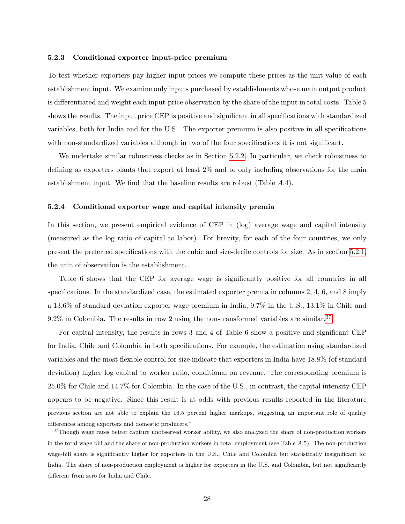#### 5.2.3 Conditional exporter input-price premium

To test whether exporters pay higher input prices we compute these prices as the unit value of each establishment input. We examine only inputs purchased by establishments whose main output product is differentiated and weight each input-price observation by the share of the input in total costs. Table 5 shows the results. The input price CEP is positive and significant in all specifications with standardized variables, both for India and for the U.S.. The exporter premium is also positive in all specifications with non-standardized variables although in two of the four specifications it is not significant.

We undertake similar robustness checks as in Section [5.2.2.](#page-26-1) In particular, we check robustness to defining as exporters plants that export at least 2% and to only including observations for the main establishment input. We find that the baseline results are robust (Table A.4).

#### 5.2.4 Conditional exporter wage and capital intensity premia

In this section, we present empirical evidence of CEP in (log) average wage and capital intensity (measured as the log ratio of capital to labor). For brevity, for each of the four countries, we only present the preferred specifications with the cubic and size-decile controls for size. As in section [5.2.1,](#page-25-1) the unit of observation is the establishment.

Table 6 shows that the CEP for average wage is significantly positive for all countries in all specifications. In the standardized case, the estimated exporter premia in columns 2, 4, 6, and 8 imply a 13.6% of standard deviation exporter wage premium in India, 9.7% in the U.S., 13.1% in Chile and  $9.2\%$  in Colombia. The results in row 2 using the non-transformed variables are similar.<sup>[37](#page-28-0)</sup>

For capital intensity, the results in rows 3 and 4 of Table 6 show a positive and significant CEP for India, Chile and Colombia in both specifications. For example, the estimation using standardized variables and the most flexible control for size indicate that exporters in India have 18.8% (of standard deviation) higher log capital to worker ratio, conditional on revenue. The corresponding premium is 25.0% for Chile and 14.7% for Colombia. In the case of the U.S., in contrast, the capital intensity CEP appears to be negative. Since this result is at odds with previous results reported in the literature previous section are not able to explain the 16.5 percent higher markups, suggesting an important role of quality differences among exporters and domestic producers."

<span id="page-28-0"></span><sup>&</sup>lt;sup>37</sup>Though wage rates better capture unobserved worker ability, we also analyzed the share of non-production workers in the total wage bill and the share of non-production workers in total employment (see Table A.5). The non-production wage-bill share is significantly higher for exporters in the U.S., Chile and Colombia but statistically insignificant for India. The share of non-production employment is higher for exporters in the U.S. and Colombia, but not significantly different from zero for India and Chile.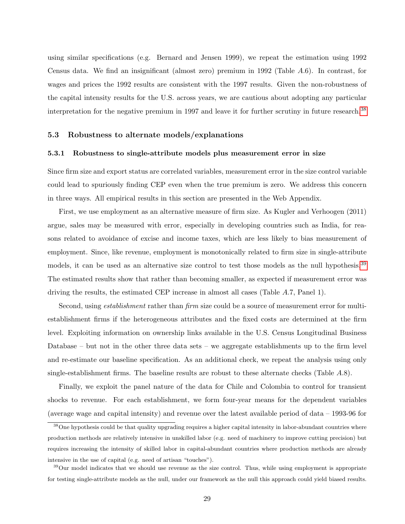using similar specifications (e.g. Bernard and Jensen 1999), we repeat the estimation using 1992 Census data. We find an insignificant (almost zero) premium in 1992 (Table A.6). In contrast, for wages and prices the 1992 results are consistent with the 1997 results. Given the non-robustness of the capital intensity results for the U.S. across years, we are cautious about adopting any particular interpretation for the negative premium in 1997 and leave it for further scrutiny in future research.<sup>[38](#page-29-1)</sup>

#### <span id="page-29-0"></span>5.3 Robustness to alternate models/explanations

#### 5.3.1 Robustness to single-attribute models plus measurement error in size

Since firm size and export status are correlated variables, measurement error in the size control variable could lead to spuriously finding CEP even when the true premium is zero. We address this concern in three ways. All empirical results in this section are presented in the Web Appendix.

First, we use employment as an alternative measure of firm size. As Kugler and Verhoogen (2011) argue, sales may be measured with error, especially in developing countries such as India, for reasons related to avoidance of excise and income taxes, which are less likely to bias measurement of employment. Since, like revenue, employment is monotonically related to firm size in single-attribute models, it can be used as an alternative size control to test those models as the null hypothesis.<sup>[39](#page-29-2)</sup> The estimated results show that rather than becoming smaller, as expected if measurement error was driving the results, the estimated CEP increase in almost all cases (Table A.7, Panel 1).

Second, using *establishment* rather than *firm* size could be a source of measurement error for multiestablishment firms if the heterogeneous attributes and the fixed costs are determined at the firm level. Exploiting information on ownership links available in the U.S. Census Longitudinal Business Database – but not in the other three data sets – we aggregate establishments up to the firm level and re-estimate our baseline specification. As an additional check, we repeat the analysis using only single-establishment firms. The baseline results are robust to these alternate checks (Table A.8).

Finally, we exploit the panel nature of the data for Chile and Colombia to control for transient shocks to revenue. For each establishment, we form four-year means for the dependent variables (average wage and capital intensity) and revenue over the latest available period of data – 1993-96 for

<span id="page-29-1"></span><sup>&</sup>lt;sup>38</sup>One hypothesis could be that quality upgrading requires a higher capital intensity in labor-abundant countries where production methods are relatively intensive in unskilled labor (e.g. need of machinery to improve cutting precision) but requires increasing the intensity of skilled labor in capital-abundant countries where production methods are already intensive in the use of capital (e.g. need of artisan "touches").

<span id="page-29-2"></span> $39$ Our model indicates that we should use revenue as the size control. Thus, while using employment is appropriate for testing single-attribute models as the null, under our framework as the null this approach could yield biased results.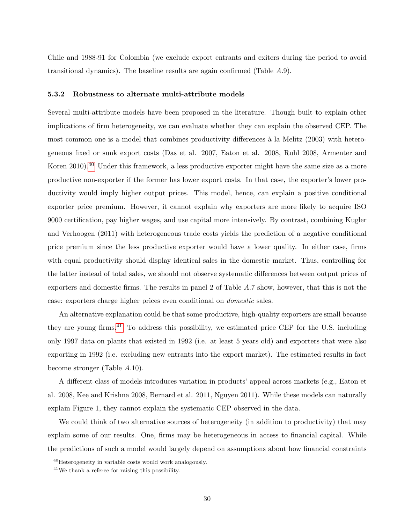Chile and 1988-91 for Colombia (we exclude export entrants and exiters during the period to avoid transitional dynamics). The baseline results are again confirmed (Table A.9).

### 5.3.2 Robustness to alternate multi-attribute models

Several multi-attribute models have been proposed in the literature. Though built to explain other implications of firm heterogeneity, we can evaluate whether they can explain the observed CEP. The most common one is a model that combines productivity differences  $\hat{a}$  la Melitz (2003) with heterogeneous fixed or sunk export costs (Das et al. 2007, Eaton et al. 2008, Ruhl 2008, Armenter and Koren 2010).<sup>[40](#page-30-0)</sup> Under this framework, a less productive exporter might have the same size as a more productive non-exporter if the former has lower export costs. In that case, the exporter's lower productivity would imply higher output prices. This model, hence, can explain a positive conditional exporter price premium. However, it cannot explain why exporters are more likely to acquire ISO 9000 certification, pay higher wages, and use capital more intensively. By contrast, combining Kugler and Verhoogen (2011) with heterogeneous trade costs yields the prediction of a negative conditional price premium since the less productive exporter would have a lower quality. In either case, firms with equal productivity should display identical sales in the domestic market. Thus, controlling for the latter instead of total sales, we should not observe systematic differences between output prices of exporters and domestic firms. The results in panel 2 of Table A.7 show, however, that this is not the case: exporters charge higher prices even conditional on domestic sales.

An alternative explanation could be that some productive, high-quality exporters are small because they are young firms.[41](#page-30-1) To address this possibility, we estimated price CEP for the U.S. including only 1997 data on plants that existed in 1992 (i.e. at least 5 years old) and exporters that were also exporting in 1992 (i.e. excluding new entrants into the export market). The estimated results in fact become stronger (Table A.10).

A different class of models introduces variation in products' appeal across markets (e.g., Eaton et al. 2008, Kee and Krishna 2008, Bernard et al. 2011, Nguyen 2011). While these models can naturally explain Figure 1, they cannot explain the systematic CEP observed in the data.

We could think of two alternative sources of heterogeneity (in addition to productivity) that may explain some of our results. One, firms may be heterogeneous in access to financial capital. While the predictions of such a model would largely depend on assumptions about how financial constraints

<span id="page-30-1"></span><span id="page-30-0"></span><sup>40</sup>Heterogeneity in variable costs would work analogously.

<sup>41</sup>We thank a referee for raising this possibility.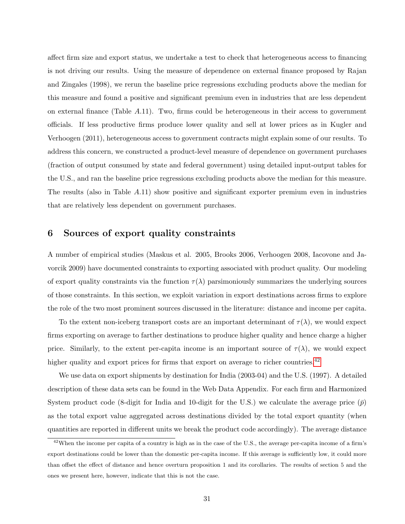affect firm size and export status, we undertake a test to check that heterogeneous access to financing is not driving our results. Using the measure of dependence on external finance proposed by Rajan and Zingales (1998), we rerun the baseline price regressions excluding products above the median for this measure and found a positive and significant premium even in industries that are less dependent on external finance (Table  $A.11$ ). Two, firms could be heterogeneous in their access to government officials. If less productive firms produce lower quality and sell at lower prices as in Kugler and Verhoogen (2011), heterogeneous access to government contracts might explain some of our results. To address this concern, we constructed a product-level measure of dependence on government purchases (fraction of output consumed by state and federal government) using detailed input-output tables for the U.S., and ran the baseline price regressions excluding products above the median for this measure. The results (also in Table A.11) show positive and significant exporter premium even in industries that are relatively less dependent on government purchases.

### <span id="page-31-0"></span>6 Sources of export quality constraints

A number of empirical studies (Maskus et al. 2005, Brooks 2006, Verhoogen 2008, Iacovone and Javorcik 2009) have documented constraints to exporting associated with product quality. Our modeling of export quality constraints via the function  $\tau(\lambda)$  parsimoniously summarizes the underlying sources of those constraints. In this section, we exploit variation in export destinations across firms to explore the role of the two most prominent sources discussed in the literature: distance and income per capita.

To the extent non-iceberg transport costs are an important determinant of  $\tau(\lambda)$ , we would expect firms exporting on average to farther destinations to produce higher quality and hence charge a higher price. Similarly, to the extent per-capita income is an important source of  $\tau(\lambda)$ , we would expect higher quality and export prices for firms that export on average to richer countries.<sup>[42](#page-31-1)</sup>

We use data on export shipments by destination for India (2003-04) and the U.S. (1997). A detailed description of these data sets can be found in the Web Data Appendix. For each firm and Harmonized System product code (8-digit for India and 10-digit for the U.S.) we calculate the average price  $(\bar{p})$ as the total export value aggregated across destinations divided by the total export quantity (when quantities are reported in different units we break the product code accordingly). The average distance

<span id="page-31-1"></span><sup>&</sup>lt;sup>42</sup>When the income per capita of a country is high as in the case of the U.S., the average per-capita income of a firm's export destinations could be lower than the domestic per-capita income. If this average is sufficiently low, it could more than offset the effect of distance and hence overturn proposition 1 and its corollaries. The results of section 5 and the ones we present here, however, indicate that this is not the case.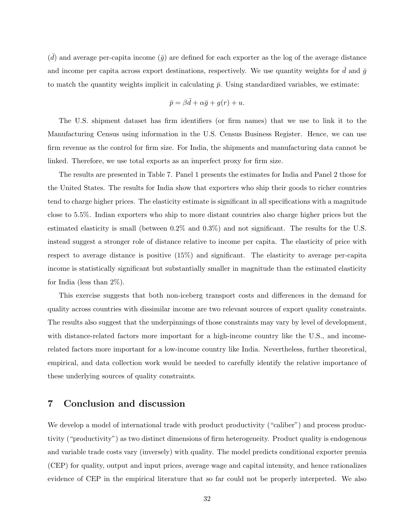$(\bar{d})$  and average per-capita income  $(\bar{g})$  are defined for each exporter as the log of the average distance and income per capita across export destinations, respectively. We use quantity weights for d and  $\bar{g}$ to match the quantity weights implicit in calculating  $\bar{p}$ . Using standardized variables, we estimate:

$$
\bar{p} = \beta \bar{d} + \alpha \bar{g} + g(r) + u.
$$

The U.S. shipment dataset has firm identifiers (or firm names) that we use to link it to the Manufacturing Census using information in the U.S. Census Business Register. Hence, we can use firm revenue as the control for firm size. For India, the shipments and manufacturing data cannot be linked. Therefore, we use total exports as an imperfect proxy for firm size.

The results are presented in Table 7. Panel 1 presents the estimates for India and Panel 2 those for the United States. The results for India show that exporters who ship their goods to richer countries tend to charge higher prices. The elasticity estimate is significant in all specifications with a magnitude close to 5.5%. Indian exporters who ship to more distant countries also charge higher prices but the estimated elasticity is small (between 0.2% and 0.3%) and not significant. The results for the U.S. instead suggest a stronger role of distance relative to income per capita. The elasticity of price with respect to average distance is positive (15%) and significant. The elasticity to average per-capita income is statistically significant but substantially smaller in magnitude than the estimated elasticity for India (less than 2%).

This exercise suggests that both non-iceberg transport costs and differences in the demand for quality across countries with dissimilar income are two relevant sources of export quality constraints. The results also suggest that the underpinnings of those constraints may vary by level of development, with distance-related factors more important for a high-income country like the U.S., and incomerelated factors more important for a low-income country like India. Nevertheless, further theoretical, empirical, and data collection work would be needed to carefully identify the relative importance of these underlying sources of quality constraints.

### <span id="page-32-0"></span>7 Conclusion and discussion

We develop a model of international trade with product productivity ("caliber") and process productivity ("productivity") as two distinct dimensions of firm heterogeneity. Product quality is endogenous and variable trade costs vary (inversely) with quality. The model predicts conditional exporter premia (CEP) for quality, output and input prices, average wage and capital intensity, and hence rationalizes evidence of CEP in the empirical literature that so far could not be properly interpreted. We also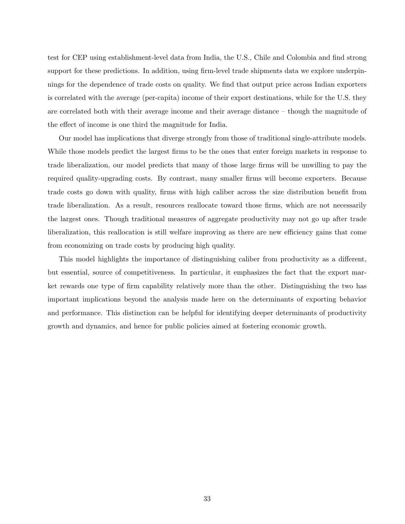test for CEP using establishment-level data from India, the U.S., Chile and Colombia and find strong support for these predictions. In addition, using firm-level trade shipments data we explore underpinnings for the dependence of trade costs on quality. We find that output price across Indian exporters is correlated with the average (per-capita) income of their export destinations, while for the U.S. they are correlated both with their average income and their average distance – though the magnitude of the effect of income is one third the magnitude for India.

Our model has implications that diverge strongly from those of traditional single-attribute models. While those models predict the largest firms to be the ones that enter foreign markets in response to trade liberalization, our model predicts that many of those large firms will be unwilling to pay the required quality-upgrading costs. By contrast, many smaller firms will become exporters. Because trade costs go down with quality, firms with high caliber across the size distribution benefit from trade liberalization. As a result, resources reallocate toward those firms, which are not necessarily the largest ones. Though traditional measures of aggregate productivity may not go up after trade liberalization, this reallocation is still welfare improving as there are new efficiency gains that come from economizing on trade costs by producing high quality.

This model highlights the importance of distinguishing caliber from productivity as a different, but essential, source of competitiveness. In particular, it emphasizes the fact that the export market rewards one type of firm capability relatively more than the other. Distinguishing the two has important implications beyond the analysis made here on the determinants of exporting behavior and performance. This distinction can be helpful for identifying deeper determinants of productivity growth and dynamics, and hence for public policies aimed at fostering economic growth.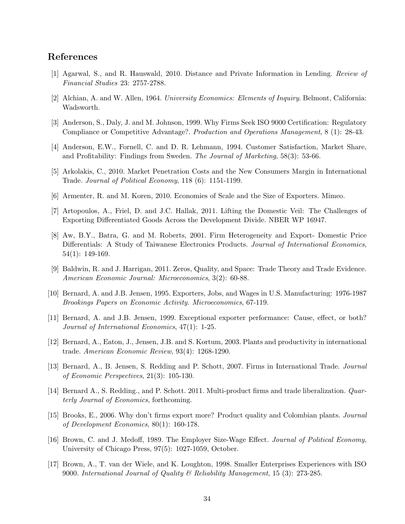### References

- [1] Agarwal, S., and R. Hauswald, 2010. Distance and Private Information in Lending. Review of Financial Studies 23: 2757-2788.
- [2] Alchian, A. and W. Allen, 1964. University Economics: Elements of Inquiry. Belmont, California: Wadsworth.
- [3] Anderson, S., Daly, J. and M. Johnson, 1999. Why Firms Seek ISO 9000 Certification: Regulatory Compliance or Competitive Advantage?. Production and Operations Management, 8 (1): 28-43.
- [4] Anderson, E.W., Fornell, C. and D. R. Lehmann, 1994. Customer Satisfaction, Market Share, and Profitability: Findings from Sweden. The Journal of Marketing, 58(3): 53-66.
- [5] Arkolakis, C., 2010. Market Penetration Costs and the New Consumers Margin in International Trade. Journal of Political Economy, 118 (6): 1151-1199.
- [6] Armenter, R. and M. Koren, 2010. Economies of Scale and the Size of Exporters. Mimeo.
- [7] Artopoulos, A., Friel, D. and J.C. Hallak, 2011. Lifting the Domestic Veil: The Challenges of Exporting Differentiated Goods Across the Development Divide. NBER WP 16947.
- [8] Aw, B.Y., Batra, G. and M. Roberts, 2001. Firm Heterogeneity and Export- Domestic Price Differentials: A Study of Taiwanese Electronics Products. Journal of International Economics, 54(1): 149-169.
- [9] Baldwin, R. and J. Harrigan, 2011. Zeros, Quality, and Space: Trade Theory and Trade Evidence. American Economic Journal: Microeconomics, 3(2): 60-88.
- [10] Bernard, A. and J.B. Jensen, 1995. Exporters, Jobs, and Wages in U.S. Manufacturing: 1976-1987 Brookings Papers on Economic Activity. Microeconomics, 67-119.
- [11] Bernard, A. and J.B. Jensen, 1999. Exceptional exporter performance: Cause, effect, or both? Journal of International Economics, 47(1): 1-25.
- [12] Bernard, A., Eaton, J., Jensen, J.B. and S. Kortum, 2003. Plants and productivity in international trade. American Economic Review, 93(4): 1268-1290.
- [13] Bernard, A., B. Jensen, S. Redding and P. Schott, 2007. Firms in International Trade. Journal of Economic Perspectives, 21(3): 105-130.
- [14] Bernard A., S. Redding., and P. Schott. 2011. Multi-product firms and trade liberalization. Quarterly Journal of Economics, forthcoming.
- [15] Brooks, E., 2006. Why don't firms export more? Product quality and Colombian plants. Journal of Development Economics, 80(1): 160-178.
- [16] Brown, C. and J. Medoff, 1989. The Employer Size-Wage Effect. Journal of Political Economy, University of Chicago Press, 97(5): 1027-1059, October.
- [17] Brown, A., T. van der Wiele, and K. Loughton, 1998. Smaller Enterprises Experiences with ISO 9000. International Journal of Quality & Reliability Management, 15 (3): 273-285.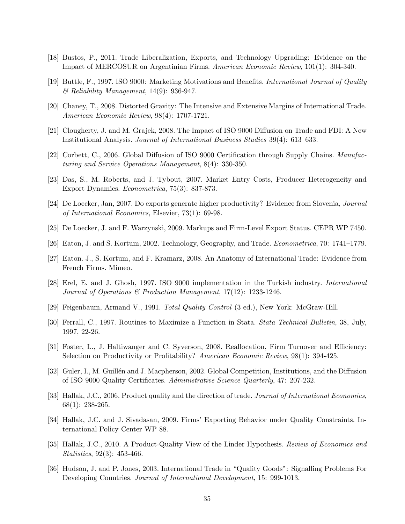- [18] Bustos, P., 2011. Trade Liberalization, Exports, and Technology Upgrading: Evidence on the Impact of MERCOSUR on Argentinian Firms. American Economic Review, 101(1): 304-340.
- [19] Buttle, F., 1997. ISO 9000: Marketing Motivations and Benefits. International Journal of Quality  $\mathscr$ *B* Reliability Management, 14(9): 936-947.
- [20] Chaney, T., 2008. Distorted Gravity: The Intensive and Extensive Margins of International Trade. American Economic Review, 98(4): 1707-1721.
- [21] Clougherty, J. and M. Grajek, 2008. The Impact of ISO 9000 Diffusion on Trade and FDI: A New Institutional Analysis. Journal of International Business Studies 39(4): 613–633.
- [22] Corbett, C., 2006. Global Diffusion of ISO 9000 Certification through Supply Chains. Manufacturing and Service Operations Management, 8(4): 330-350.
- [23] Das, S., M. Roberts, and J. Tybout, 2007. Market Entry Costs, Producer Heterogeneity and Export Dynamics. Econometrica, 75(3): 837-873.
- [24] De Loecker, Jan, 2007. Do exports generate higher productivity? Evidence from Slovenia, Journal of International Economics, Elsevier, 73(1): 69-98.
- [25] De Loecker, J. and F. Warzynski, 2009. Markups and Firm-Level Export Status. CEPR WP 7450.
- [26] Eaton, J. and S. Kortum, 2002. Technology, Geography, and Trade. Econometrica, 70: 1741–1779.
- [27] Eaton. J., S. Kortum, and F. Kramarz, 2008. An Anatomy of International Trade: Evidence from French Firms. Mimeo.
- [28] Erel, E. and J. Ghosh, 1997. ISO 9000 implementation in the Turkish industry. International Journal of Operations & Production Management, 17(12): 1233-1246.
- [29] Feigenbaum, Armand V., 1991. Total Quality Control (3 ed.), New York: McGraw-Hill.
- [30] Ferrall, C., 1997. Routines to Maximize a Function in Stata. Stata Technical Bulletin, 38, July, 1997, 22-26.
- [31] Foster, L., J. Haltiwanger and C. Syverson, 2008. Reallocation, Firm Turnover and Efficiency: Selection on Productivity or Profitability? American Economic Review, 98(1): 394-425.
- [32] Guler, I., M. Guillén and J. Macpherson, 2002. Global Competition, Institutions, and the Diffusion of ISO 9000 Quality Certificates. Administrative Science Quarterly, 47: 207-232.
- [33] Hallak, J.C., 2006. Product quality and the direction of trade. Journal of International Economics, 68(1): 238-265.
- [34] Hallak, J.C. and J. Sivadasan, 2009. Firms' Exporting Behavior under Quality Constraints. International Policy Center WP 88.
- [35] Hallak, J.C., 2010. A Product-Quality View of the Linder Hypothesis. Review of Economics and Statistics, 92(3): 453-466.
- [36] Hudson, J. and P. Jones, 2003. International Trade in "Quality Goods": Signalling Problems For Developing Countries. Journal of International Development, 15: 999-1013.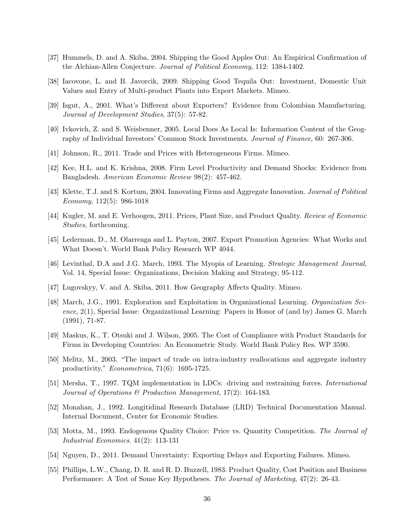- [37] Hummels, D. and A. Skiba, 2004. Shipping the Good Apples Out: An Empirical Confirmation of the Alchian-Allen Conjecture. Journal of Political Economy, 112: 1384-1402.
- [38] Iacovone, L. and B. Javorcik, 2009. Shipping Good Tequila Out: Investment, Domestic Unit Values and Entry of Multi-product Plants into Export Markets. Mimeo.
- [39] Isgut, A., 2001. What's Different about Exporters? Evidence from Colombian Manufacturing. Journal of Development Studies, 37(5): 57-82.
- [40] Ivkovich, Z. and S. Weisbenner, 2005. Local Does As Local Is: Information Content of the Geography of Individual Investors' Common Stock Investments. Journal of Finance, 60: 267-306.
- [41] Johnson, R., 2011. Trade and Prices with Heterogeneous Firms. Mimeo.
- [42] Kee, H.L. and K. Krishna, 2008. Firm Level Productivity and Demand Shocks: Evidence from Bangladesh. American Economic Review 98(2): 457-462.
- [43] Klette, T.J. and S. Kortum, 2004. Innovating Firms and Aggregate Innovation. Journal of Political Economy, 112(5): 986-1018
- [44] Kugler, M. and E. Verhoogen, 2011. Prices, Plant Size, and Product Quality. Review of Economic Studies, forthcoming.
- [45] Lederman, D., M. Olarreaga and L. Payton, 2007. Export Promotion Agencies: What Works and What Doesn't. World Bank Policy Research WP 4044.
- [46] Levinthal, D.A and J.G. March, 1993. The Myopia of Learning. Strategic Management Journal, Vol. 14, Special Issue: Organizations, Decision Making and Strategy, 95-112.
- [47] Lugovskyy, V. and A. Skiba, 2011. How Geography Affects Quality. Mimeo.
- [48] March, J.G., 1991. Exploration and Exploitation in Organizational Learning. Organization Science, 2(1), Special Issue: Organizational Learning: Papers in Honor of (and by) James G. March (1991), 71-87.
- [49] Maskus, K., T. Otsuki and J. Wilson, 2005. The Cost of Compliance with Product Standards for Firms in Developing Countries: An Econometric Study. World Bank Policy Res. WP 3590.
- [50] Melitz, M., 2003. "The impact of trade on intra-industry reallocations and aggregate industry productivity," Econometrica, 71(6): 1695-1725.
- [51] Mersha, T., 1997. TQM implementation in LDCs: driving and restraining forces. International Journal of Operations & Production Management, 17(2): 164-183.
- [52] Monahan, J., 1992. Longitidinal Research Database (LRD) Technical Documentation Manual. Internal Document, Center for Economic Studies.
- [53] Motta, M., 1993. Endogenous Quality Choice: Price vs. Quantity Competition. The Journal of Industrial Economics. 41(2): 113-131
- [54] Nguyen, D., 2011. Demand Uncertainty: Exporting Delays and Exporting Failures. Mimeo.
- [55] Phillips, L.W., Chang, D. R. and R. D. Buzzell, 1983. Product Quality, Cost Position and Business Performance: A Test of Some Key Hypotheses. The Journal of Marketing, 47(2): 26-43.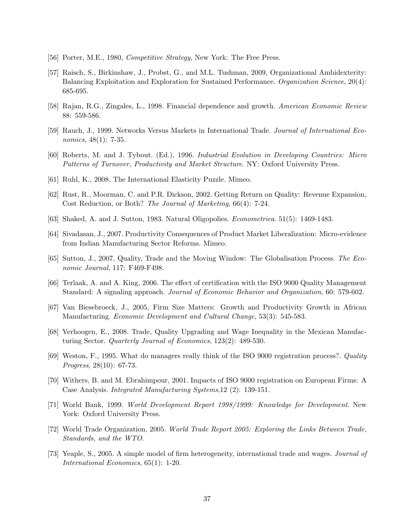- [56] Porter, M.E., 1980, Competitive Strategy, New York: The Free Press.
- [57] Raisch, S., Birkinshaw, J., Probst, G., and M.L. Tushman, 2009, Organizational Ambidexterity: Balancing Exploitation and Exploration for Sustained Performance. Organization Science, 20(4): 685-695.
- [58] Rajan, R.G., Zingales, L., 1998. Financial dependence and growth. American Economic Review 88: 559-586.
- [59] Rauch, J., 1999. Networks Versus Markets in International Trade. Journal of International Economics, 48(1): 7-35.
- [60] Roberts, M. and J. Tybout. (Ed.), 1996. Industrial Evolution in Developing Countries: Micro Patterns of Turnover, Productivity and Market Structure. NY: Oxford University Press.
- [61] Ruhl, K., 2008. The International Elasticity Puzzle. Mimeo.
- [62] Rust, R., Moorman, C. and P.R. Dickson, 2002. Getting Return on Quality: Revenue Expansion, Cost Reduction, or Both? The Journal of Marketing, 66(4): 7-24.
- [63] Shaked, A. and J. Sutton, 1983. Natural Oligopolies. Econometrica. 51(5): 1469-1483.
- [64] Sivadasan, J., 2007. Productivity Consequences of Product Market Liberalization: Micro-evidence from Indian Manufacturing Sector Reforms. Mimeo.
- [65] Sutton, J., 2007. Quality, Trade and the Moving Window: The Globalisation Process. The Economic Journal, 117: F469-F498.
- [66] Terlaak, A. and A. King, 2006. The effect of certification with the ISO 9000 Quality Management Standard: A signaling approach. Journal of Economic Behavior and Organization, 60: 579-602.
- [67] Van Biesebroeck, J., 2005, Firm Size Matters: Growth and Productivity Growth in African Manufacturing. Economic Development and Cultural Change, 53(3): 545-583.
- [68] Verhoogen, E., 2008. Trade, Quality Upgrading and Wage Inequality in the Mexican Manufacturing Sector. Quarterly Journal of Economics, 123(2): 489-530.
- [69] Weston, F., 1995. What do managers really think of the ISO 9000 registration process?. Quality Progress, 28(10): 67-73.
- [70] Withers, B. and M. Ebrahimpour, 2001. Impacts of ISO 9000 registration on European Firms: A Case Analysis. Integrated Manufacturing Systems,12 (2): 139-151.
- [71] World Bank, 1999. World Development Report 1998/1999: Knowledge for Development. New York: Oxford University Press.
- [72] World Trade Organization, 2005. World Trade Report 2005: Exploring the Links Between Trade, Standards, and the WTO.
- [73] Yeaple, S., 2005. A simple model of firm heterogeneity, international trade and wages. Journal of International Economics, 65(1): 1-20.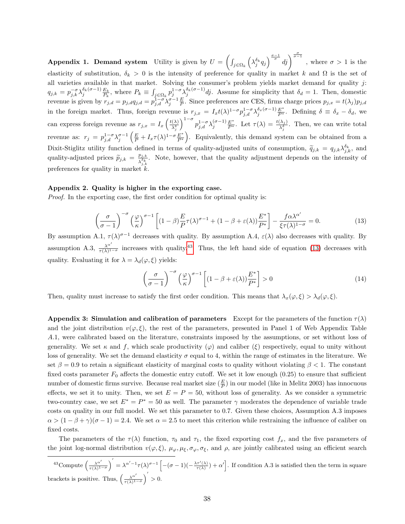**Appendix 1. Demand system** Utility is given by  $U = \left(\int_{j \in \Omega_k} \left(\lambda_j^{\delta_k} q_j \right)^{\frac{\sigma-1}{\sigma}} dj \right)^{\frac{\sigma}{\sigma-1}}$ , where  $\sigma > 1$  is the elasticity of substitution,  $\delta_k > 0$  is the intensity of preference for quality in market k and  $\Omega$  is the set of all varieties available in that market. Solving the consumer's problem yields market demand for quality  $j$ :  $q_{j,k} = p_{j,k}^{-\sigma} \lambda_j^{\delta_k(\sigma-1)} \frac{E_k}{P_k}$ , where  $P_k \equiv \int_{j \in \Omega_k} p_j^{1-\sigma} \lambda_j^{\delta_k(\sigma-1)} d j$ . Assume for simplicity that  $\delta_d = 1$ . Then, domestic revenue is given by  $r_{j,d} = p_{j,d} q_{j,d} = p_{j,d}^{1-\sigma} \lambda_j^{\sigma-1} \frac{E}{P}$ . Since preferences are CES, firms charge prices  $p_{j,x} = t(\lambda_j) p_{j,d}$ in the foreign market. Thus, foreign revenue is  $r_{j,x} = I_x t(\lambda)^{1-\sigma} p_{j,d}^{1-\sigma} \lambda_j^{\delta_x(\sigma-1)} \frac{E^*}{P^*}$ . Defining  $\delta \equiv \delta_x - \delta_d$ , we can express foreign revenue as  $r_{j,x} = I_x \left( \frac{t(\lambda)}{\lambda^{\delta}} \right)$  $\lambda_j^{\delta}$  $\int_{0}^{1-\sigma} p_{j,d}^{1-\sigma} \lambda_j^{(\sigma-1)} \frac{E^*}{P^*}$ . Let  $\tau(\lambda) = \frac{t(\lambda_j)}{\lambda_j^{\delta}}$ . Then, we can write total revenue as:  $r_j = p_{j,d}^{1-\sigma} \lambda_j^{\sigma-1} \left( \frac{E}{P} + I_x \tau(\lambda)^{1-\sigma} \frac{E^*}{P^*} \right)$  $\frac{E^*}{P^*}$ . Equivalently, this demand system can be obtained from a Dixit-Stiglitz utility function defined in terms of quality-adjusted units of consumption,  $\tilde{q}_{j,k} = q_{j,k} \lambda_{j,k}^{\delta_k}$ , and quality-adjusted prices  $\widetilde{p}_{j,k} = \frac{p_{j,k}}{\lambda_{j,k}^{\delta_k}}$  $\frac{p_{j,k}}{\lambda_{j,k}^{\delta_k}}$ . Note, however, that the quality adjustment depends on the intensity of preferences for quality in market  $k$ .

#### Appendix 2. Quality is higher in the exporting case.

*Proof.* In the exporting case, the first order condition for optimal quality is:

<span id="page-38-1"></span>
$$
\left(\frac{\sigma}{\sigma-1}\right)^{-\sigma} \left(\frac{\varphi}{\kappa}\right)^{\sigma-1} \left[ (1-\beta) \frac{E}{P} \tau(\lambda)^{\sigma-1} + (1-\beta + \varepsilon(\lambda)) \frac{E^*}{P^*} \right] - \frac{f \alpha \lambda^{\alpha'}}{\xi \tau(\lambda)^{1-\sigma}} = 0. \tag{13}
$$

By assumption A.1,  $\tau(\lambda)^{\sigma-1}$  decreases with quality. By assumption A.4,  $\varepsilon(\lambda)$  also decreases with quality. By assumption A.3,  $\frac{\lambda^{\alpha'}}{\tau(\lambda)^1}$  $\frac{\lambda^{\alpha}}{\tau(\lambda)^{1-\sigma}}$  increases with quality.<sup>[43](#page-38-0)</sup> Thus, the left hand side of equation [\(13\)](#page-38-1) decreases with quality. Evaluating it for  $\lambda = \lambda_d(\varphi, \xi)$  yields:

$$
\left(\frac{\sigma}{\sigma - 1}\right)^{-\sigma} \left(\frac{\varphi}{\kappa}\right)^{\sigma - 1} \left[ (1 - \beta + \varepsilon(\lambda)) \frac{E^*}{P^*} \right] > 0 \tag{14}
$$

Then, quality must increase to satisfy the first order condition. This means that  $\lambda_x(\varphi,\xi) > \lambda_d(\varphi,\xi)$ .

Appendix 3: Simulation and calibration of parameters Except for the parameters of the function  $\tau(\lambda)$ and the joint distribution  $v(\varphi, \xi)$ , the rest of the parameters, presented in Panel 1 of Web Appendix Table A.1, were calibrated based on the literature, constraints imposed by the assumptions, or set without loss of generality. We set  $\kappa$  and f, which scale productivity  $(\varphi)$  and caliber  $(\xi)$  respectively, equal to unity without loss of generality. We set the demand elasticity  $\sigma$  equal to 4, within the range of estimates in the literature. We set  $\beta = 0.9$  to retain a significant elasticity of marginal costs to quality without violating  $\beta < 1$ . The constant fixed costs parameter  $F_0$  affects the domestic entry cutoff. We set it low enough  $(0.25)$  to ensure that sufficient number of domestic firms survive. Because real market size  $(\frac{E}{P})$  in our model (like in Melitz 2003) has innocuous effects, we set it to unity. Then, we set  $E = P = 50$ , without loss of generality. As we consider a symmetric two-country case, we set  $E^* = P^* = 50$  as well. The parameter  $\gamma$  moderates the dependence of variable trade costs on quality in our full model. We set this parameter to 0.7. Given these choices, Assumption A.3 imposes  $\alpha > (1 - \beta + \gamma)(\sigma - 1) = 2.4$ . We set  $\alpha = 2.5$  to meet this criterion while restraining the influence of caliber on fixed costs.

The parameters of the  $\tau(\lambda)$  function,  $\tau_0$  and  $\tau_1$ , the fixed exporting cost  $f_x$ , and the five parameters of the joint log-normal distribution  $v(\varphi,\xi)$ ,  $\mu_{\varphi}, \mu_{\xi}, \sigma_{\varphi}, \sigma_{\xi}$ , and  $\rho$ , are jointly calibrated using an efficient search

<span id="page-38-0"></span><sup>43</sup>Compute  $\left(\frac{\lambda^{\alpha'}}{\tau(\lambda)^1}\right)$  $\frac{\lambda^{\alpha'}}{\tau(\lambda)^{1-\sigma}}$  =  $\lambda^{\alpha'-1}\tau(\lambda)^{\sigma-1}\left[-(\sigma-1)(-\frac{\lambda\tau'(\lambda)}{\tau(\lambda)})+\alpha'\right]$ . If condition A.3 is satisfied then the term in square brackets is positive. Thus,  $\left(\frac{\lambda^{\alpha'}}{\sigma(\lambda)^{1}}\right)$  $\frac{\lambda^{\alpha'}}{\tau(\lambda)^{1-\sigma}}$  > 0.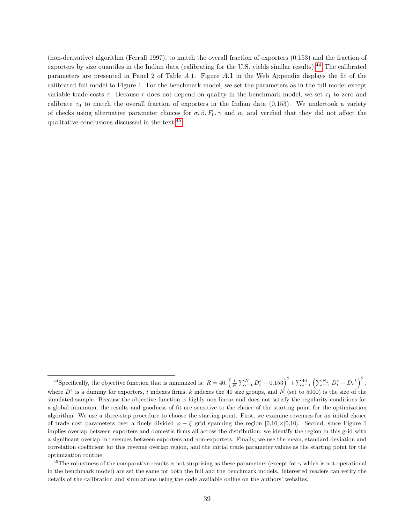(non-derivative) algorithm (Ferrall 1997), to match the overall fraction of exporters (0.153) and the fraction of exporters by size quantiles in the Indian data (calibrating for the U.S. yields similar results).[44](#page-39-0) The calibrated parameters are presented in Panel 2 of Table A.1. Figure A.1 in the Web Appendix displays the fit of the calibrated full model to Figure 1. For the benchmark model, we set the parameters as in the full model except variable trade costs  $\tau$ . Because  $\tau$  does not depend on quality in the benchmark model, we set  $\tau_1$  to zero and calibrate  $\tau_0$  to match the overall fraction of exporters in the Indian data (0.153). We undertook a variety of checks using alternative parameter choices for  $\sigma, \beta, F_0, \gamma$  and  $\alpha$ , and verified that they did not affect the qualitative conclusions discussed in the text.[45](#page-39-1)

<span id="page-39-0"></span><sup>&</sup>lt;sup>44</sup>Specifically, the objective function that is minimized is:  $R = 40. \left(\frac{1}{N} \sum_{i=1}^{N} D_i^e - 0.153\right)^2 + \sum_{k=1}^{40} \left(\sum_{i=1}^{N_k} D_i^e - \overline{D}_e^k\right)^2$ , where  $D^e$  is a dummy for exporters, i indexes firms, k indexes the 40 size groups, and N (set to 5000) is the size of the simulated sample. Because the objective function is highly non-linear and does not satisfy the regularity conditions for a global minimum, the results and goodness of fit are sensitive to the choice of the starting point for the optimization algorithm. We use a three-step procedure to choose the starting point. First, we examine revenues for an initial choice of trade cost parameters over a finely divided  $\varphi - \xi$  grid spanning the region [0,10]×[0,10]. Second, since Figure 1 implies overlap between exporters and domestic firms all across the distribution, we identify the region in this grid with a significant overlap in revenues between exporters and non-exporters. Finally, we use the mean, standard deviation and correlation coefficient for this revenue overlap region, and the initial trade parameter values as the starting point for the optimization routine.

<span id="page-39-1"></span><sup>&</sup>lt;sup>45</sup>The robustness of the comparative results is not surprising as these parameters (except for  $\gamma$  which is not operational in the benchmark model) are set the same for both the full and the benchmark models. Interested readers can verify the details of the calibration and simulations using the code available online on the authors' websites.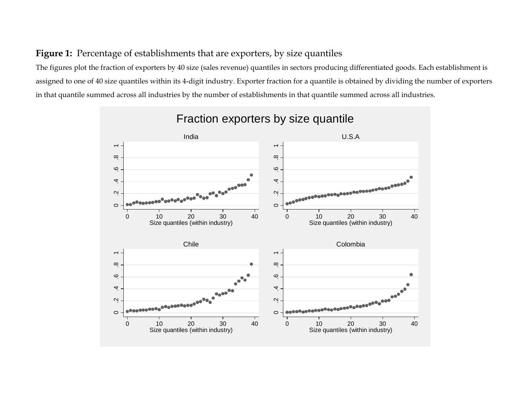## **Figure 1:** Percentage of establishments that are exporters, by size quantiles

The figures plot the fraction of exporters by 40 size (sales revenue) quantiles in sectors producing differentiated goods. Each establishment is assigned to one of 40 size quantiles within its 4-digit industry. Exporter fraction for a quantile is obtained by dividing the number of exporters in that quantile summed across all industries by the number of establishments in that quantile summed across all industries.



# Fraction exporters by size quantile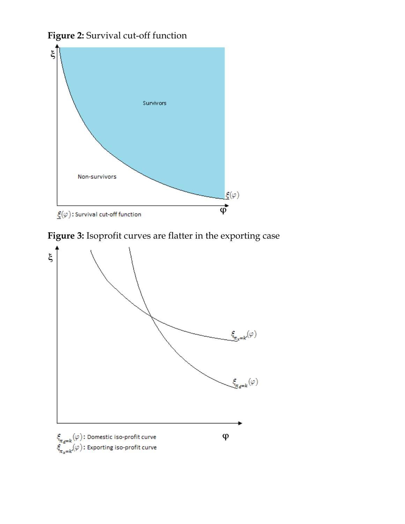



**Figure 3:** Isoprofit curves are flatter in the exporting case

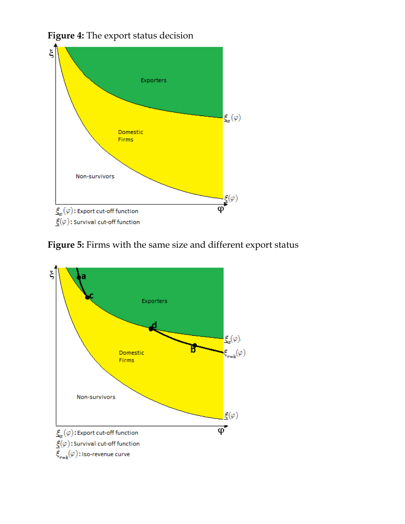

**Figure 4:** The export status decision

**Figure 5:** Firms with the same size and different export status

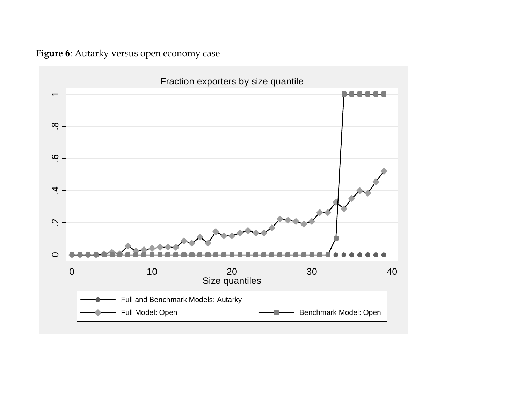**Figure 6**: Autarky versus open economy case

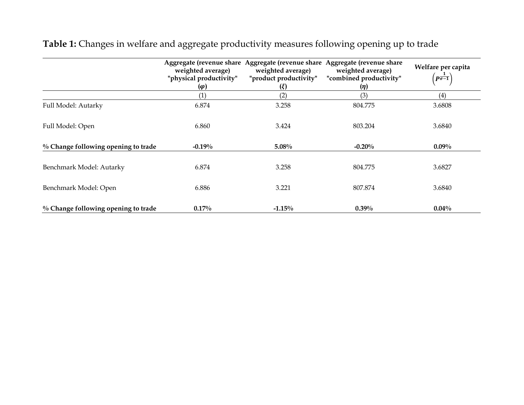|                                     | Aggregate (revenue share<br>weighted average)<br>"physical productivity"<br>$(\varphi)$ | Aggregate (revenue share<br>weighted average)<br>"product productivity"<br>(ξ) | Aggregate (revenue share<br>weighted average)<br>"combined productivity"<br>(n) | Welfare per capita<br>$\left(\boldsymbol{p}_{\boldsymbol{\sigma-1}}^{-1}\right)$ |
|-------------------------------------|-----------------------------------------------------------------------------------------|--------------------------------------------------------------------------------|---------------------------------------------------------------------------------|----------------------------------------------------------------------------------|
|                                     | (1)                                                                                     | (2)                                                                            | (3)                                                                             | (4)                                                                              |
| Full Model: Autarky                 | 6.874                                                                                   | 3.258                                                                          | 804.775                                                                         | 3.6808                                                                           |
| Full Model: Open                    | 6.860                                                                                   | 3.424                                                                          | 803.204                                                                         | 3.6840                                                                           |
| % Change following opening to trade | $-0.19%$                                                                                | $5.08\%$                                                                       | $-0.20%$                                                                        | $0.09\%$                                                                         |
| Benchmark Model: Autarky            | 6.874                                                                                   | 3.258                                                                          | 804.775                                                                         | 3.6827                                                                           |
| Benchmark Model: Open               | 6.886                                                                                   | 3.221                                                                          | 807.874                                                                         | 3.6840                                                                           |
| % Change following opening to trade | $0.17\%$                                                                                | $-1.15%$                                                                       | $0.39\%$                                                                        | $0.04\%$                                                                         |

**Table 1:** Changes in welfare and aggregate productivity measures following opening up to trade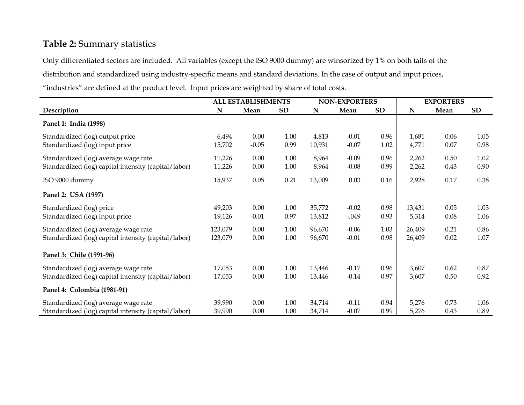## **Table 2:** Summary statistics

Only differentiated sectors are included. All variables (except the ISO 9000 dummy) are winsorized by 1% on both tails of the distribution and standardized using industry-specific means and standard deviations. In the case of output and input prices, "industries" are defined at the product level. Input prices are weighted by share of total costs.

|                                                                                              | ALL ESTABLISHMENTS |                 | <b>NON-EXPORTERS</b> |                  |                    | <b>EXPORTERS</b> |                  |              |                  |
|----------------------------------------------------------------------------------------------|--------------------|-----------------|----------------------|------------------|--------------------|------------------|------------------|--------------|------------------|
| Description                                                                                  | N                  | Mean            | SD                   | $\mathbf N$      | Mean               | SD               | N                | Mean         | SD               |
| Panel 1: India (1998)                                                                        |                    |                 |                      |                  |                    |                  |                  |              |                  |
| Standardized (log) output price<br>Standardized (log) input price                            | 6,494<br>15,702    | 0.00<br>$-0.05$ | 1.00<br>0.99         | 4,813<br>10,931  | $-0.01$<br>$-0.07$ | 0.96<br>1.02     | 1,681<br>4,771   | 0.06<br>0.07 | 1.05<br>0.98     |
| Standardized (log) average wage rate<br>Standardized (log) capital intensity (capital/labor) | 11,226<br>11,226   | 0.00<br>0.00    | 1.00<br>1.00         | 8,964<br>8,964   | $-0.09$<br>$-0.08$ | 0.96<br>0.99     | 2,262<br>2,262   | 0.50<br>0.43 | 1.02<br>0.90     |
| ISO 9000 dummy                                                                               | 15,937             | 0.05            | 0.21                 | 13,009           | 0.03               | 0.16             | 2,928            | 0.17         | 0.38             |
| Panel 2: USA (1997)                                                                          |                    |                 |                      |                  |                    |                  |                  |              |                  |
| Standardized (log) price<br>Standardized (log) input price                                   | 49,203<br>19,126   | 0.00<br>$-0.01$ | 1.00<br>0.97         | 35,772<br>13,812 | $-0.02$<br>$-.049$ | 0.98<br>0.93     | 13,431<br>5,314  | 0.05<br>0.08 | 1.03<br>1.06     |
| Standardized (log) average wage rate<br>Standardized (log) capital intensity (capital/labor) | 123,079<br>123,079 | 0.00<br>0.00    | 1.00<br>1.00         | 96,670<br>96,670 | $-0.06$<br>$-0.01$ | 1.03<br>0.98     | 26,409<br>26,409 | 0.21<br>0.02 | 0.86<br>$1.07\,$ |
| Panel 3: Chile (1991-96)                                                                     |                    |                 |                      |                  |                    |                  |                  |              |                  |
| Standardized (log) average wage rate<br>Standardized (log) capital intensity (capital/labor) | 17,053<br>17,053   | 0.00<br>0.00    | 1.00<br>1.00         | 13,446<br>13,446 | $-0.17$<br>$-0.14$ | 0.96<br>0.97     | 3,607<br>3,607   | 0.62<br>0.50 | 0.87<br>0.92     |
| Panel 4: Colombia (1981-91)                                                                  |                    |                 |                      |                  |                    |                  |                  |              |                  |
| Standardized (log) average wage rate<br>Standardized (log) capital intensity (capital/labor) | 39,990<br>39,990   | 0.00<br>0.00    | 1.00<br>1.00         | 34,714<br>34,714 | $-0.11$<br>$-0.07$ | 0.94<br>0.99     | 5,276<br>5,276   | 0.73<br>0.43 | 1.06<br>0.89     |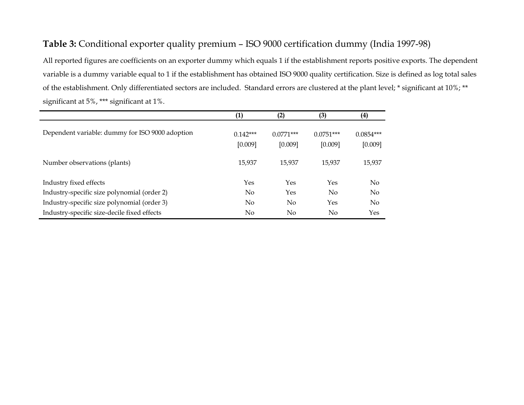## **Table 3:** Conditional exporter quality premium – ISO 9000 certification dummy (India 1997-98)

All reported figures are coefficients on an exporter dummy which equals 1 if the establishment reports positive exports. The dependent variable is a dummy variable equal to 1 if the establishment has obtained ISO 9000 quality certification. Size is defined as log total sales of the establishment. Only differentiated sectors are included. Standard errors are clustered at the plant level; \* significant at 10%; \*\* significant at 5%, \*\*\* significant at 1%.

|                                                 | (1)                   | (2)                    | (3)                    | (4)                    |
|-------------------------------------------------|-----------------------|------------------------|------------------------|------------------------|
| Dependent variable: dummy for ISO 9000 adoption | $0.142***$<br>[0.009] | $0.0771***$<br>[0.009] | $0.0751***$<br>[0.009] | $0.0854***$<br>[0.009] |
| Number observations (plants)                    | 15,937                | 15,937                 | 15.937                 | 15,937                 |
| Industry fixed effects                          | Yes                   | Yes                    | Yes                    | $\rm No$               |
| Industry-specific size polynomial (order 2)     | N <sub>o</sub>        | Yes                    | No                     | $\rm No$               |
| Industry-specific size polynomial (order 3)     | N <sub>o</sub>        | No                     | Yes                    | $\rm No$               |
| Industry-specific size-decile fixed effects     | $\rm No$              | No                     | No                     | Yes                    |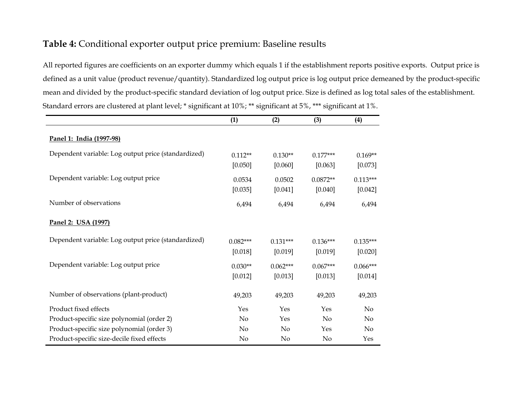## **Table 4:** Conditional exporter output price premium: Baseline results

All reported figures are coefficients on an exporter dummy which equals 1 if the establishment reports positive exports. Output price is defined as a unit value (product revenue/quantity). Standardized log output price is log output price demeaned by the product-specific mean and divided by the product-specific standard deviation of log output price. Size is defined as log total sales of the establishment. Standard errors are clustered at plant level; \* significant at 10%; \*\* significant at 5%, \*\*\* significant at 1%.

|                                                     | (1)                   | (2)                   | (3)                   | (4)                   |
|-----------------------------------------------------|-----------------------|-----------------------|-----------------------|-----------------------|
| Panel 1: India (1997-98)                            |                       |                       |                       |                       |
| Dependent variable: Log output price (standardized) | $0.112**$<br>[0.050]  | $0.130**$<br>[0.060]  | $0.177***$<br>[0.063] | $0.169**$<br>[0.073]  |
| Dependent variable: Log output price                | 0.0534<br>[0.035]     | 0.0502<br>[0.041]     | $0.0872**$<br>[0.040] | $0.113***$<br>[0.042] |
| Number of observations                              | 6,494                 | 6,494                 | 6,494                 | 6,494                 |
| Panel 2: USA (1997)                                 |                       |                       |                       |                       |
| Dependent variable: Log output price (standardized) | $0.082***$<br>[0.018] | $0.131***$<br>[0.019] | $0.136***$<br>[0.019] | $0.135***$<br>[0.020] |
| Dependent variable: Log output price                | $0.030**$<br>[0.012]  | $0.062***$<br>[0.013] | $0.067***$<br>[0.013] | $0.066***$<br>[0.014] |
| Number of observations (plant-product)              | 49,203                | 49,203                | 49,203                | 49,203                |
| Product fixed effects                               | Yes                   | Yes                   | Yes                   | N <sub>o</sub>        |
| Product-specific size polynomial (order 2)          | No                    | Yes                   | No                    | No                    |
| Product-specific size polynomial (order 3)          | No                    | No                    | Yes                   | No                    |
| Product-specific size-decile fixed effects          | No                    | No                    | No                    | Yes                   |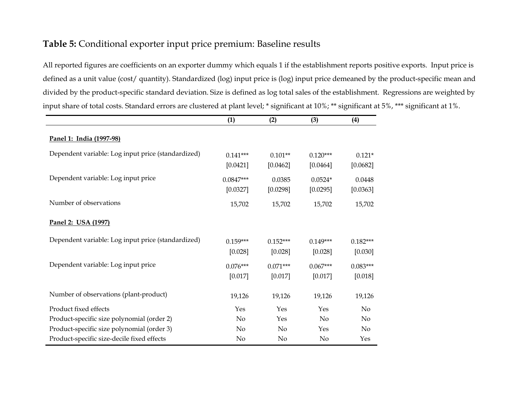## **Table 5:** Conditional exporter input price premium: Baseline results

All reported figures are coefficients on an exporter dummy which equals 1 if the establishment reports positive exports. Input price is defined as a unit value (cost/ quantity). Standardized (log) input price is (log) input price demeaned by the product-specific mean and divided by the product-specific standard deviation. Size is defined as log total sales of the establishment. Regressions are weighted by input share of total costs. Standard errors are clustered at plant level; \* significant at 10%; \*\* significant at 5%, \*\*\* significant at 1%.

|                                                    | (1)                     | (2)                   | (3)                    | (4)                   |
|----------------------------------------------------|-------------------------|-----------------------|------------------------|-----------------------|
| Panel 1: India (1997-98)                           |                         |                       |                        |                       |
| Dependent variable: Log input price (standardized) | $0.141***$<br>[0.0421]  | $0.101**$<br>[0.0462] | $0.120***$<br>[0.0464] | $0.121*$<br>[0.0682]  |
| Dependent variable: Log input price                | $0.0847***$<br>[0.0327] | 0.0385<br>[0.0298]    | $0.0524*$<br>[0.0295]  | 0.0448<br>[0.0363]    |
| Number of observations                             | 15,702                  | 15,702                | 15,702                 | 15,702                |
| Panel 2: USA (1997)                                |                         |                       |                        |                       |
| Dependent variable: Log input price (standardized) | $0.159***$<br>[0.028]   | $0.152***$<br>[0.028] | $0.149***$<br>[0.028]  | $0.182***$<br>[0.030] |
| Dependent variable: Log input price                | $0.076***$<br>[0.017]   | $0.071***$<br>[0.017] | $0.067***$<br>[0.017]  | $0.083***$<br>[0.018] |
| Number of observations (plant-product)             | 19,126                  | 19,126                | 19,126                 | 19,126                |
| Product fixed effects                              | Yes                     | Yes                   | Yes                    | N <sub>o</sub>        |
| Product-specific size polynomial (order 2)         | No                      | Yes                   | N <sub>o</sub>         | No                    |
| Product-specific size polynomial (order 3)         | No                      | No                    | Yes                    | N <sub>o</sub>        |
| Product-specific size-decile fixed effects         | No                      | No                    | No                     | Yes                   |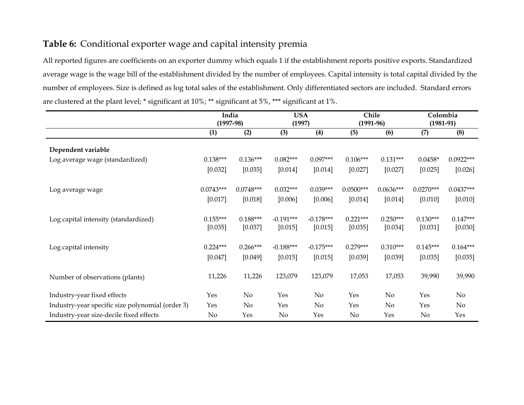## **Table 6:** Conditional exporter wage and capital intensity premia

All reported figures are coefficients on an exporter dummy which equals 1 if the establishment reports positive exports. Standardized average wage is the wage bill of the establishment divided by the number of employees. Capital intensity is total capital divided by the number of employees. Size is defined as log total sales of the establishment. Only differentiated sectors are included. Standard errors are clustered at the plant level; \* significant at 10%; \*\* significant at 5%, \*\*\* significant at 1%.

|                                                  | India<br>$(1997-98)$   |                        | <b>USA</b><br>(1997)   |                        | Chile<br>$(1991-96)$   |                        | Colombia<br>$(1981-91)$ |                        |
|--------------------------------------------------|------------------------|------------------------|------------------------|------------------------|------------------------|------------------------|-------------------------|------------------------|
|                                                  | (1)                    | (2)                    | (3)                    | (4)                    | (5)                    | (6)                    | (7)                     | (8)                    |
| Dependent variable                               |                        |                        |                        |                        |                        |                        |                         |                        |
| Log average wage (standardized)                  | $0.138***$             | $0.136***$             | $0.082***$             | $0.097***$             | $0.106***$             | $0.131***$             | $0.0458*$               | $0.0922***$            |
|                                                  | [0.032]                | [0.035]                | [0.014]                | [0.014]                | [0.027]                | [0.027]                | [0.025]                 | [0.026]                |
| Log average wage                                 | $0.0743***$<br>[0.017] | $0.0748***$<br>[0.018] | $0.032***$<br>[0.006]  | $0.039***$<br>[0.006]  | $0.0500***$<br>[0.014] | $0.0636***$<br>[0.014] | $0.0270***$<br>[0.010]  | $0.0437***$<br>[0.010] |
| Log capital intensity (standardized)             | $0.155***$<br>[0.035]  | $0.188***$<br>[0.037]  | $-0.191***$<br>[0.015] | $-0.178***$<br>[0.015] | $0.221***$<br>[0.035]  | $0.250***$<br>[0.034]  | $0.130***$<br>[0.031]   | $0.147***$<br>[0.030]  |
| Log capital intensity                            | $0.224***$<br>[0.047]  | $0.266***$<br>[0.049]  | $-0.188***$<br>[0.015] | $-0.175***$<br>[0.015] | $0.279***$<br>[0.039]  | $0.310***$<br>[0.039]  | $0.145***$<br>[0.035]   | $0.164***$<br>[0.035]  |
| Number of observations (plants)                  | 11,226                 | 11,226                 | 123,079                | 123,079                | 17,053                 | 17,053                 | 39,990                  | 39,990                 |
| Industry-year fixed effects                      | Yes                    | No                     | Yes                    | $\rm No$               | Yes                    | No                     | Yes                     | No                     |
| Industry-year specific size polynomial (order 3) | Yes                    | $\rm No$               | Yes                    | $\rm No$               | Yes                    | $\rm No$               | Yes                     | No                     |
| Industry-year size-decile fixed effects          | No                     | Yes                    | $\rm No$               | Yes                    | $\rm No$               | Yes                    | No                      | Yes                    |